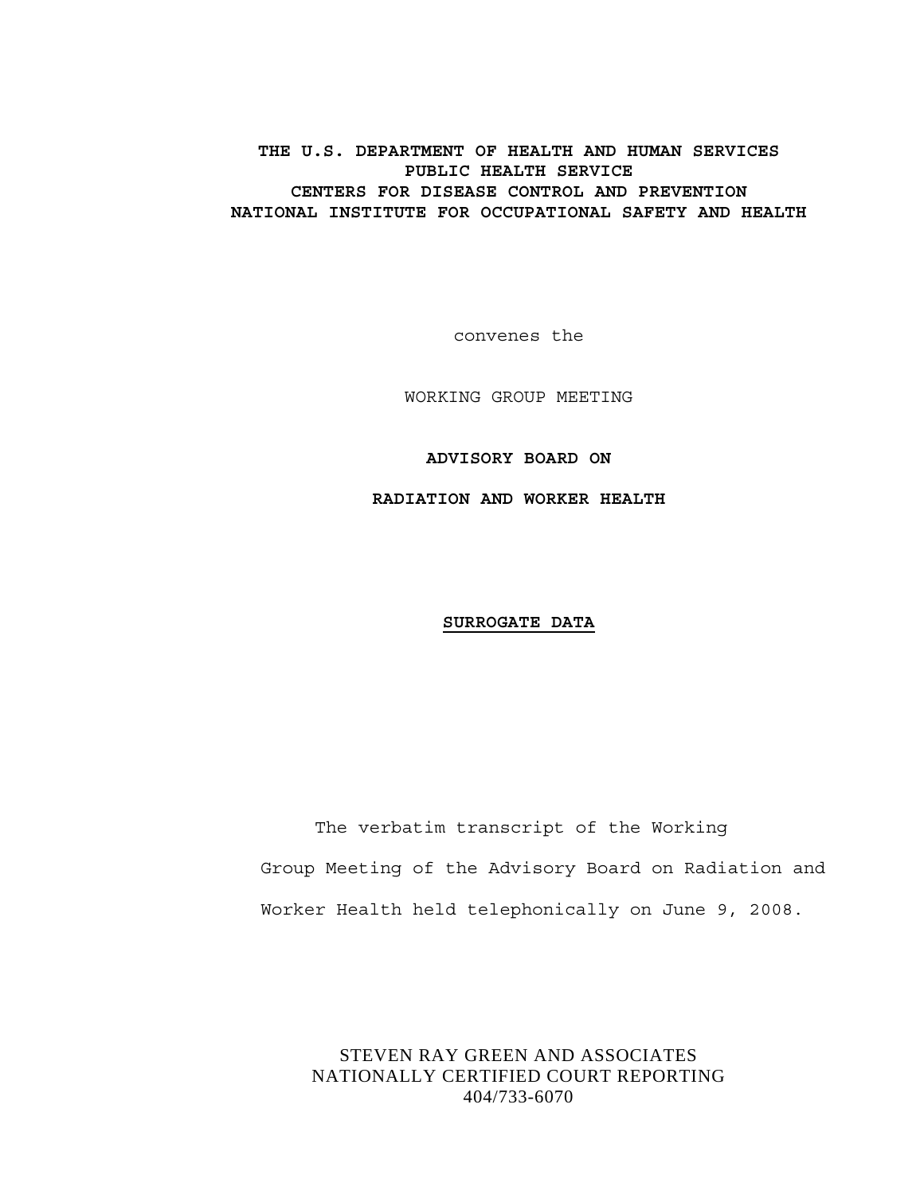## **THE U.S. DEPARTMENT OF HEALTH AND HUMAN SERVICES PUBLIC HEALTH SERVICE CENTERS FOR DISEASE CONTROL AND PREVENTION NATIONAL INSTITUTE FOR OCCUPATIONAL SAFETY AND HEALTH**

convenes the

WORKING GROUP MEETING

**ADVISORY BOARD ON** 

**RADIATION AND WORKER HEALTH** 

### **SURROGATE DATA**

The verbatim transcript of the Working Group Meeting of the Advisory Board on Radiation and Worker Health held telephonically on June 9, 2008.

STEVEN RAY GREEN AND ASSOCIATES NATIONALLY CERTIFIED COURT REPORTING 404/733-6070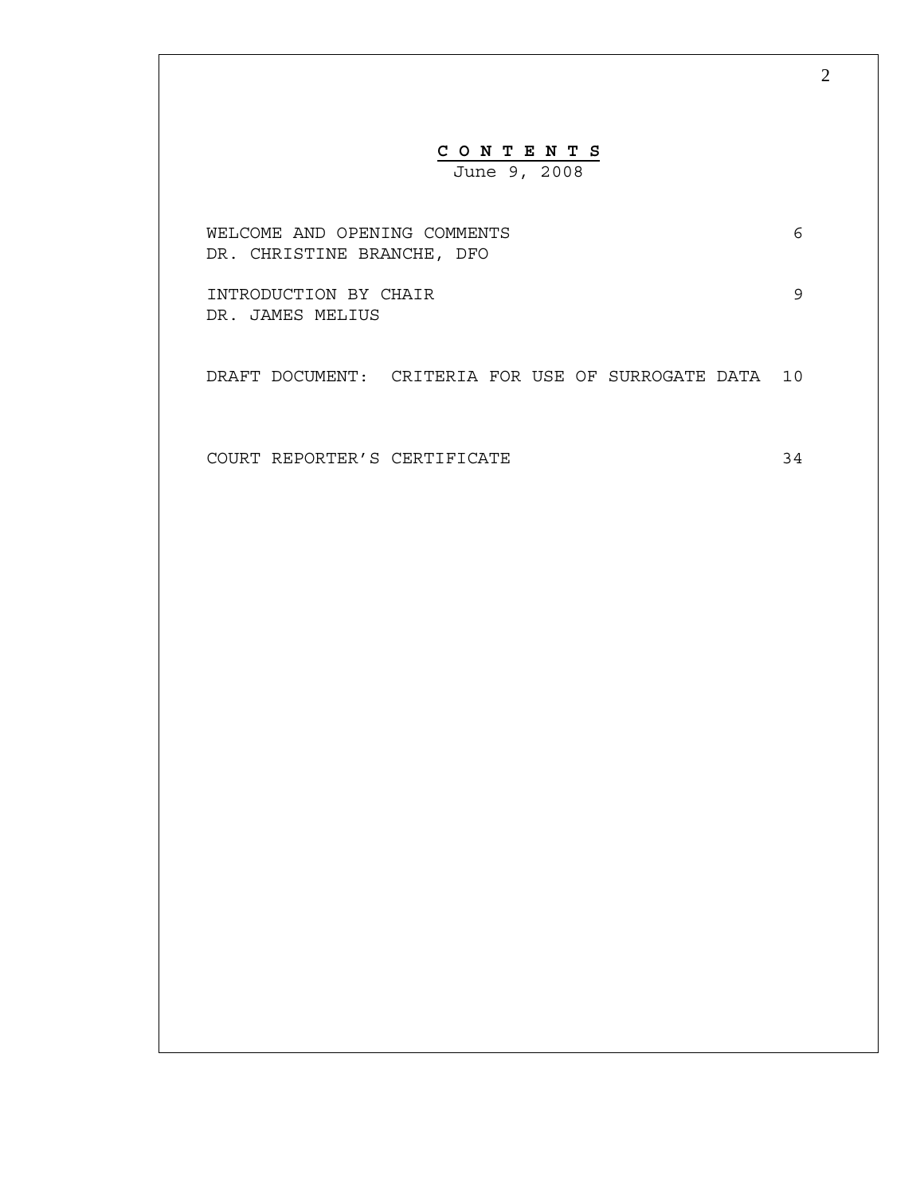# **C O N T E N T S** June 9, 2008

WELCOME AND OPENING COMMENTS 6 DR. CHRISTINE BRANCHE, DFO

INTRODUCTION BY CHAIR 9 DR. JAMES MELIUS

DRAFT DOCUMENT: CRITERIA FOR USE OF SURROGATE DATA 10

COURT REPORTER'S CERTIFICATE 34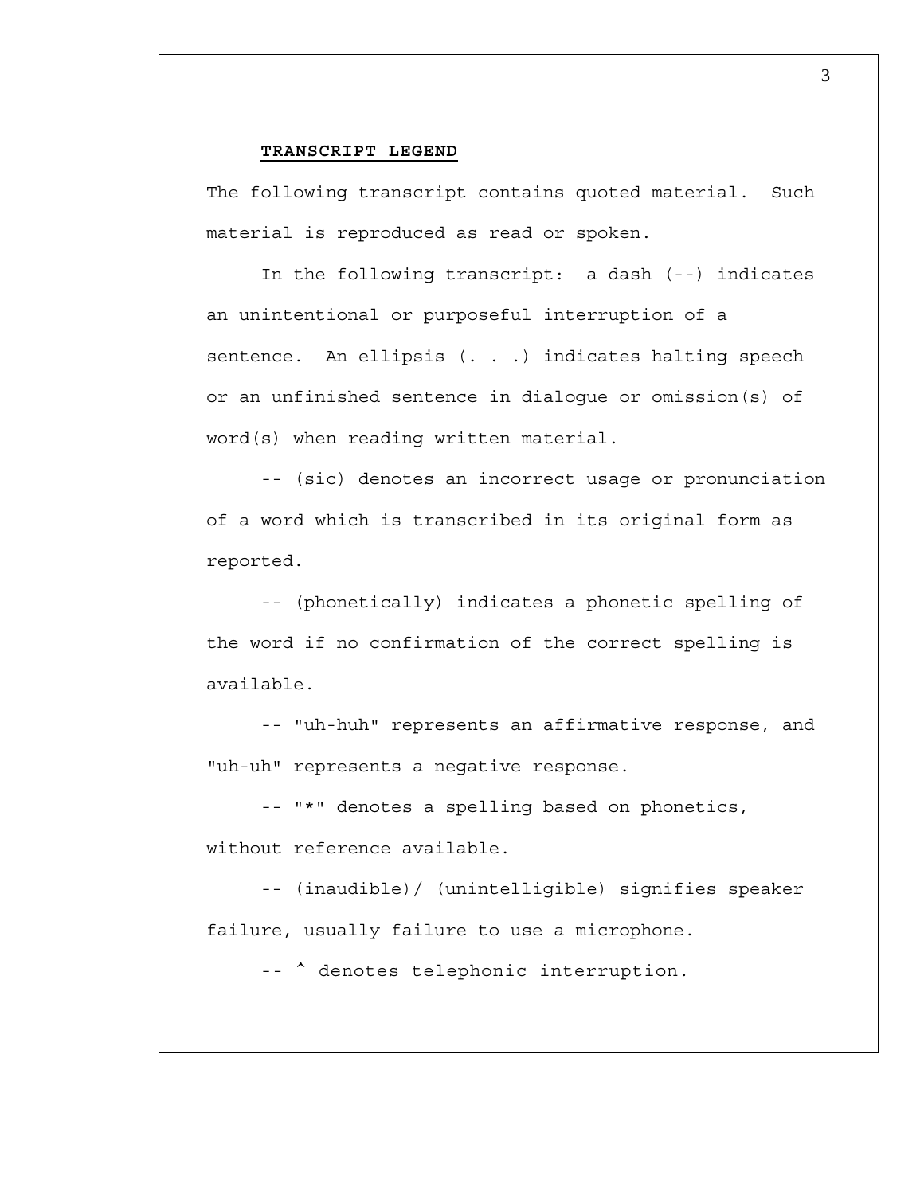#### **TRANSCRIPT LEGEND**

The following transcript contains quoted material. Such material is reproduced as read or spoken.

In the following transcript: a dash (--) indicates an unintentional or purposeful interruption of a sentence. An ellipsis (. . .) indicates halting speech or an unfinished sentence in dialogue or omission(s) of word(s) when reading written material.

-- (sic) denotes an incorrect usage or pronunciation of a word which is transcribed in its original form as reported.

-- (phonetically) indicates a phonetic spelling of the word if no confirmation of the correct spelling is available.

-- "uh-huh" represents an affirmative response, and "uh-uh" represents a negative response.

 -- "\*" denotes a spelling based on phonetics, without reference available.

-- (inaudible)/ (unintelligible) signifies speaker failure, usually failure to use a microphone.

--  $\hat{ }$  denotes telephonic interruption.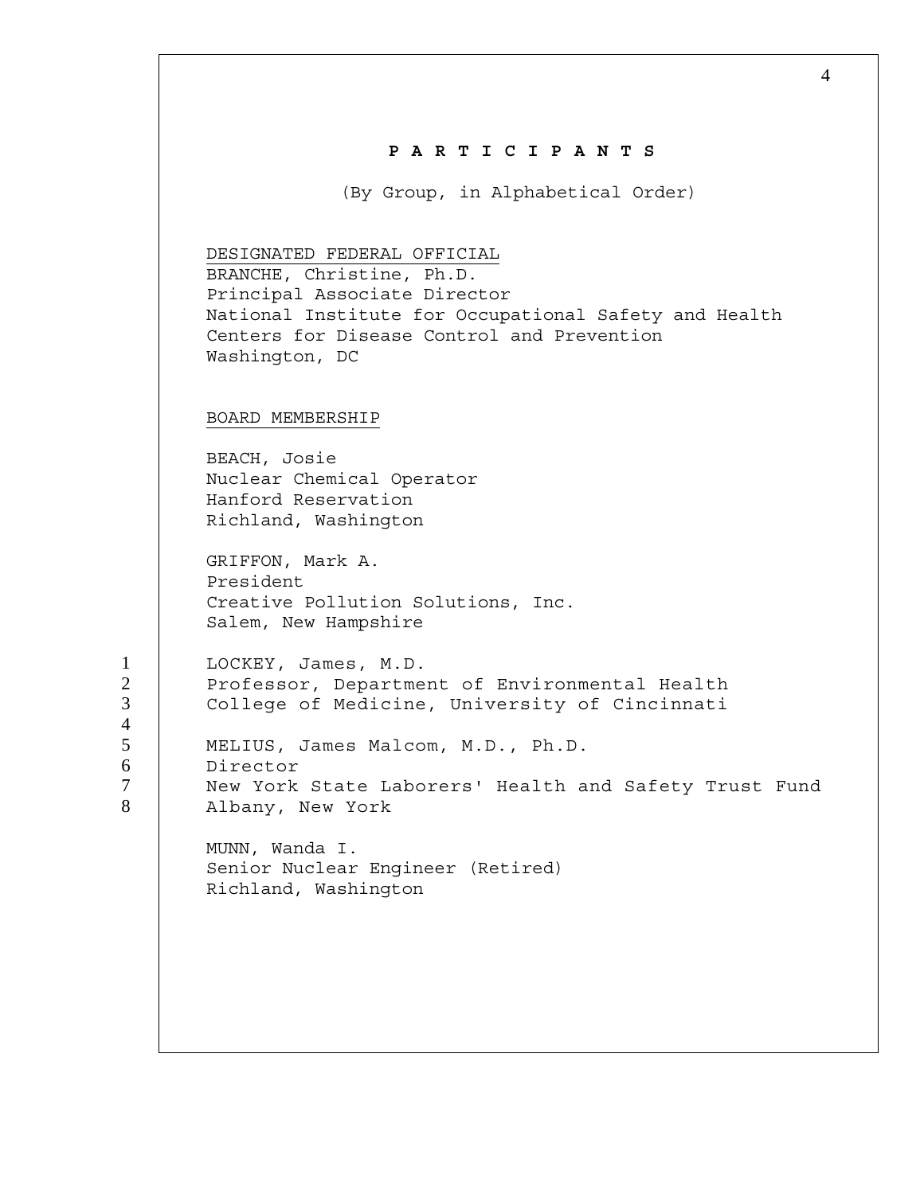| PARTICIPANTS<br>(By Group, in Alphabetical Order)<br>DESIGNATED FEDERAL OFFICIAL<br>BRANCHE, Christine, Ph.D.<br>Principal Associate Director<br>National Institute for Occupational Safety and Health<br>Centers for Disease Control and Prevention<br>Washington, DC<br>BOARD MEMBERSHIP<br>BEACH, Josie<br>Nuclear Chemical Operator<br>Hanford Reservation<br>Richland, Washington<br>GRIFFON, Mark A.<br>President<br>Creative Pollution Solutions, Inc.<br>Salem, New Hampshire<br>LOCKEY, James, M.D.<br>Professor, Department of Environmental Health<br>College of Medicine, University of Cincinnati<br>MELIUS, James Malcom, M.D., Ph.D.<br>Director<br>New York State Laborers' Health and Safety Trust Fund<br>Albany, New York | MUNN, Wanda I. |  |
|----------------------------------------------------------------------------------------------------------------------------------------------------------------------------------------------------------------------------------------------------------------------------------------------------------------------------------------------------------------------------------------------------------------------------------------------------------------------------------------------------------------------------------------------------------------------------------------------------------------------------------------------------------------------------------------------------------------------------------------------|----------------|--|
|                                                                                                                                                                                                                                                                                                                                                                                                                                                                                                                                                                                                                                                                                                                                              |                |  |
|                                                                                                                                                                                                                                                                                                                                                                                                                                                                                                                                                                                                                                                                                                                                              |                |  |
|                                                                                                                                                                                                                                                                                                                                                                                                                                                                                                                                                                                                                                                                                                                                              |                |  |
|                                                                                                                                                                                                                                                                                                                                                                                                                                                                                                                                                                                                                                                                                                                                              |                |  |
|                                                                                                                                                                                                                                                                                                                                                                                                                                                                                                                                                                                                                                                                                                                                              |                |  |
|                                                                                                                                                                                                                                                                                                                                                                                                                                                                                                                                                                                                                                                                                                                                              |                |  |
|                                                                                                                                                                                                                                                                                                                                                                                                                                                                                                                                                                                                                                                                                                                                              |                |  |
|                                                                                                                                                                                                                                                                                                                                                                                                                                                                                                                                                                                                                                                                                                                                              |                |  |
| Senior Nuclear Engineer (Retired)<br>Richland, Washington                                                                                                                                                                                                                                                                                                                                                                                                                                                                                                                                                                                                                                                                                    |                |  |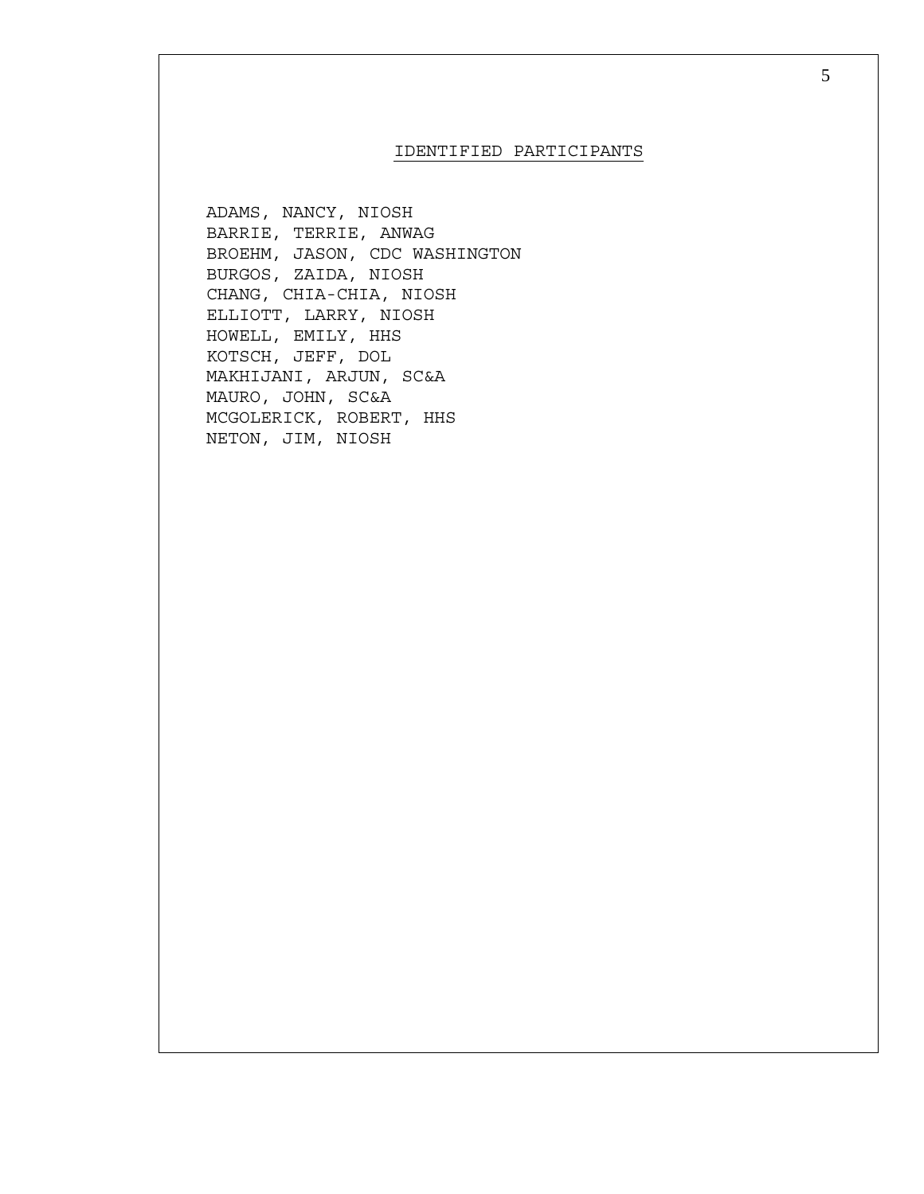#### IDENTIFIED PARTICIPANTS

ADAMS, NANCY, NIOSH BARRIE, TERRIE, ANWAG BROEHM, JASON, CDC WASHINGTON BURGOS, ZAIDA, NIOSH CHANG, CHIA-CHIA, NIOSH ELLIOTT, LARRY, NIOSH HOWELL, EMILY, HHS KOTSCH, JEFF, DOL MAKHIJANI, ARJUN, SC&A MAURO, JOHN, SC&A MCGOLERICK, ROBERT, HHS NETON, JIM, NIOSH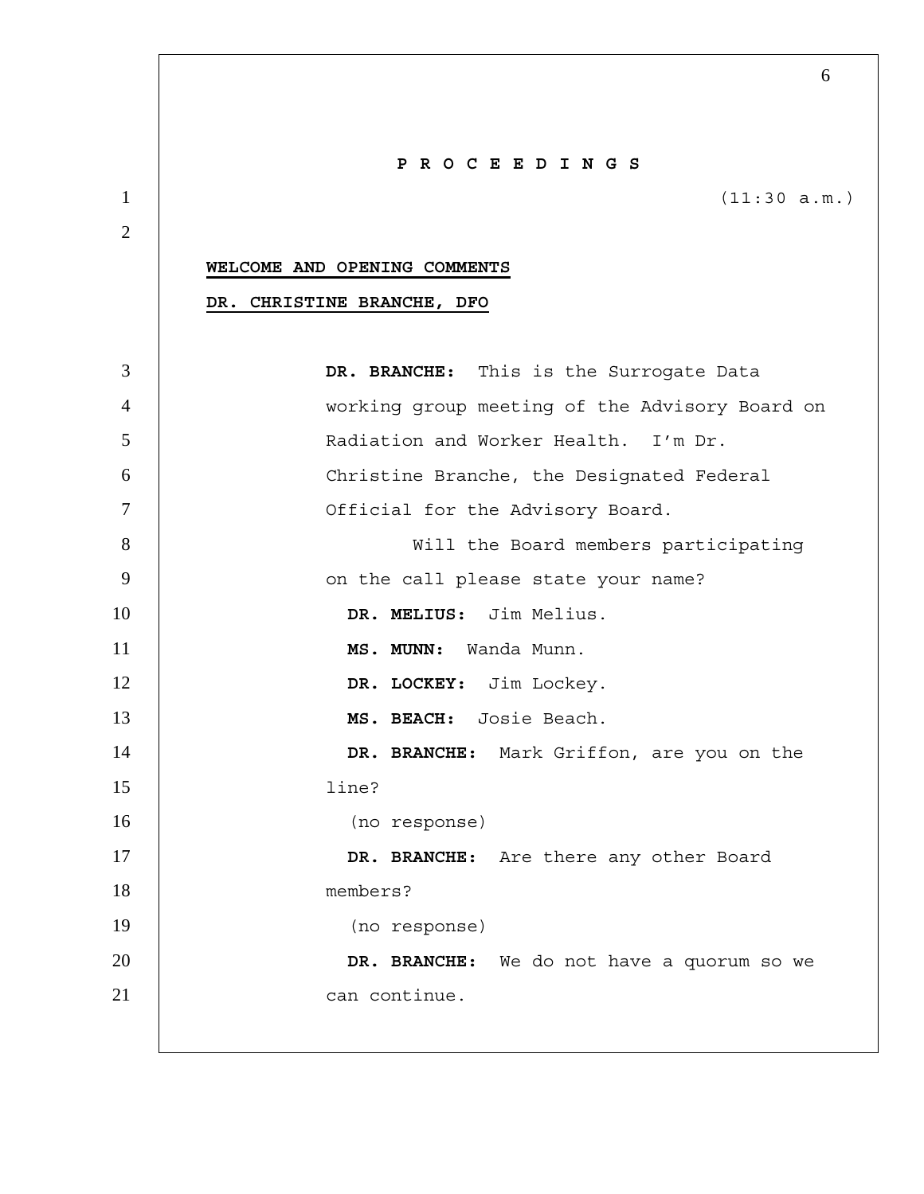|                | PROCEEDINGS                                    |
|----------------|------------------------------------------------|
| $\mathbf{1}$   | (11:30 a.m.)                                   |
| $\overline{2}$ |                                                |
|                | WELCOME AND OPENING COMMENTS                   |
|                | DR. CHRISTINE BRANCHE, DFO                     |
|                |                                                |
| 3              | DR. BRANCHE: This is the Surrogate Data        |
| $\overline{4}$ | working group meeting of the Advisory Board on |
| 5              | Radiation and Worker Health. I'm Dr.           |
| 6              | Christine Branche, the Designated Federal      |
| 7              | Official for the Advisory Board.               |
| 8              | Will the Board members participating           |
| 9              | on the call please state your name?            |
| 10             | DR. MELIUS: Jim Melius.                        |
| 11             | MS. MUNN: Wanda Munn.                          |
| 12             | DR. LOCKEY: Jim Lockey.                        |
| 13             | MS. BEACH: Josie Beach.                        |
| 14             | DR. BRANCHE: Mark Griffon, are you on the      |
| 15             | line?                                          |
| 16             | (no response)                                  |
| 17             | DR. BRANCHE: Are there any other Board         |
| 18             | members?                                       |
| 19             | (no response)                                  |
| 20             | DR. BRANCHE: We do not have a quorum so we     |
| 21             | can continue.                                  |
|                |                                                |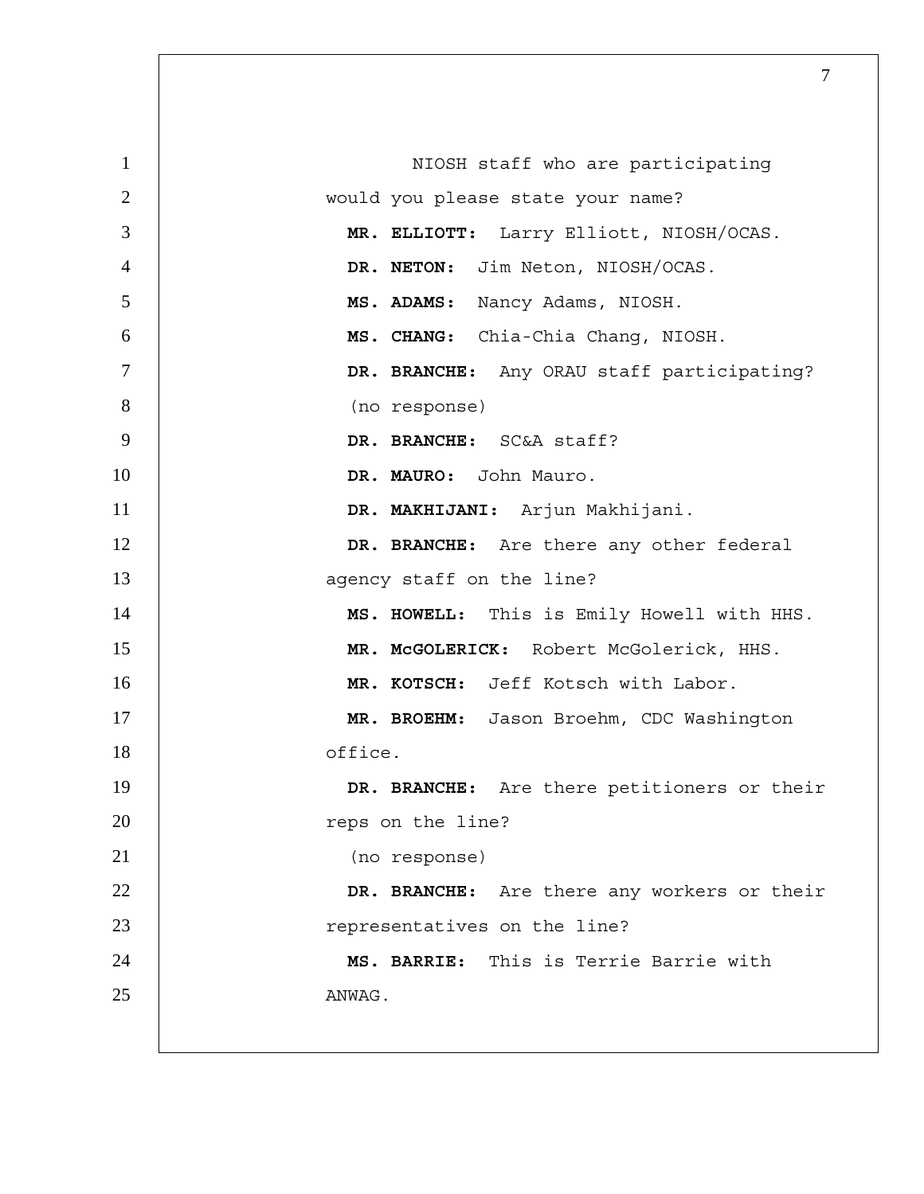| $\mathbf{1}$   | NIOSH staff who are participating           |
|----------------|---------------------------------------------|
| $\mathbf{2}$   | would you please state your name?           |
| 3              | MR. ELLIOTT: Larry Elliott, NIOSH/OCAS.     |
| $\overline{4}$ | DR. NETON: Jim Neton, NIOSH/OCAS.           |
| 5              | MS. ADAMS: Nancy Adams, NIOSH.              |
| 6              | MS. CHANG: Chia-Chia Chang, NIOSH.          |
| $\overline{7}$ | DR. BRANCHE: Any ORAU staff participating?  |
| 8              | (no response)                               |
| 9              | DR. BRANCHE: SC&A staff?                    |
| 10             | DR. MAURO: John Mauro.                      |
| 11             | DR. MAKHIJANI: Arjun Makhijani.             |
| 12             | DR. BRANCHE: Are there any other federal    |
| 13             | agency staff on the line?                   |
| 14             | MS. HOWELL: This is Emily Howell with HHS.  |
| 15             | MR. McGOLERICK: Robert McGolerick, HHS.     |
| 16             | MR. KOTSCH: Jeff Kotsch with Labor.         |
| 17             | MR. BROEHM: Jason Broehm, CDC Washington    |
| 18             | office.                                     |
| 19             | DR. BRANCHE: Are there petitioners or their |
| 20             | reps on the line?                           |
| 21             | (no response)                               |
| 22             | DR. BRANCHE: Are there any workers or their |
| 23             | representatives on the line?                |
| 24             | MS. BARRIE: This is Terrie Barrie with      |
| 25             | ANWAG.                                      |
|                |                                             |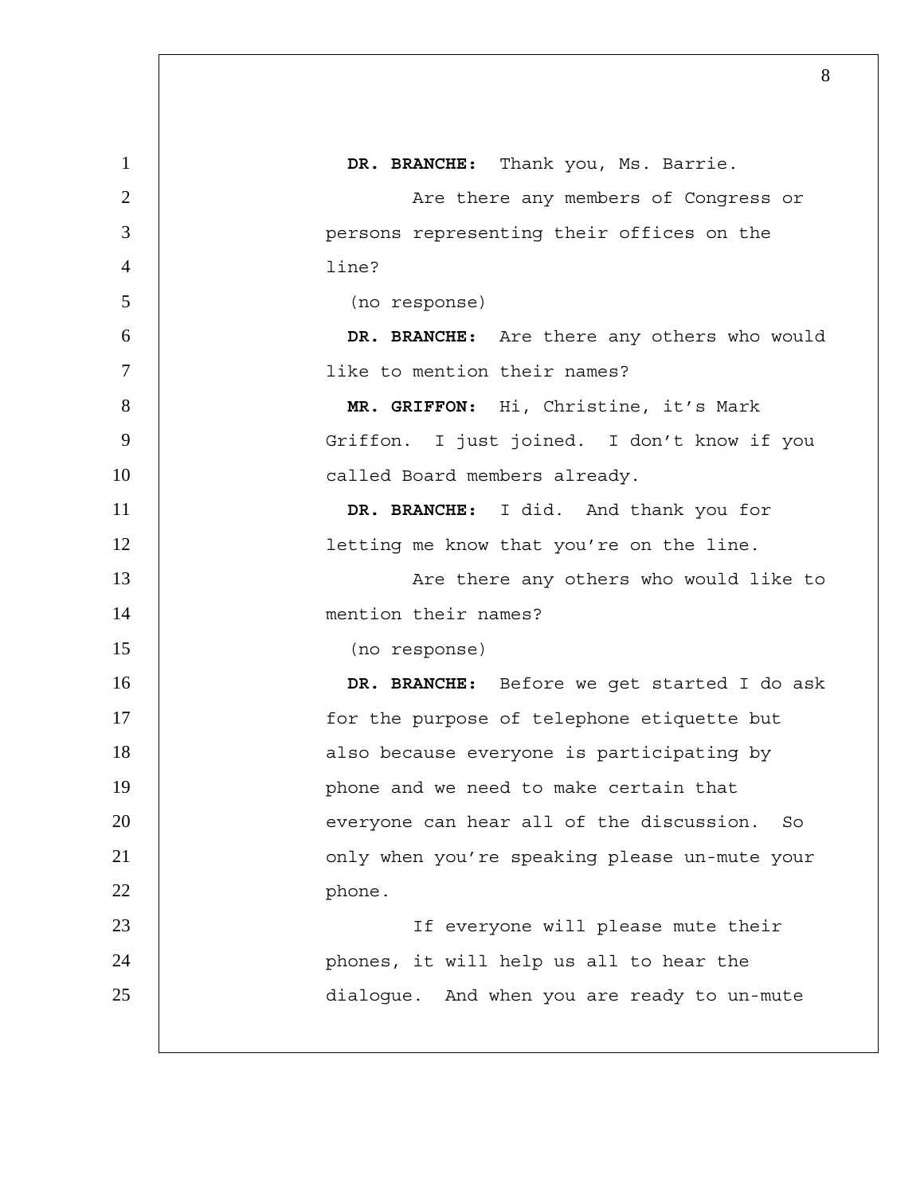| 1              | DR. BRANCHE: Thank you, Ms. Barrie.              |
|----------------|--------------------------------------------------|
| $\overline{2}$ | Are there any members of Congress or             |
| 3              | persons representing their offices on the        |
| $\overline{4}$ | line?                                            |
| 5              | (no response)                                    |
| 6              | DR. BRANCHE: Are there any others who would      |
| $\overline{7}$ | like to mention their names?                     |
| 8              | MR. GRIFFON: Hi, Christine, it's Mark            |
| 9              | Griffon. I just joined. I don't know if you      |
| 10             | called Board members already.                    |
| 11             | DR. BRANCHE: I did. And thank you for            |
| 12             | letting me know that you're on the line.         |
| 13             | Are there any others who would like to           |
| 14             | mention their names?                             |
| 15             | (no response)                                    |
| 16             | DR. BRANCHE: Before we get started I do ask      |
| 17             | for the purpose of telephone etiquette but       |
| 18             | also because everyone is participating by        |
| 19             | phone and we need to make certain that           |
| 20             | everyone can hear all of the discussion.<br>- So |
| 21             | only when you're speaking please un-mute your    |
| 22             | phone.                                           |
| 23             | If everyone will please mute their               |
| 24             | phones, it will help us all to hear the          |
| 25             | dialogue. And when you are ready to un-mute      |
|                |                                                  |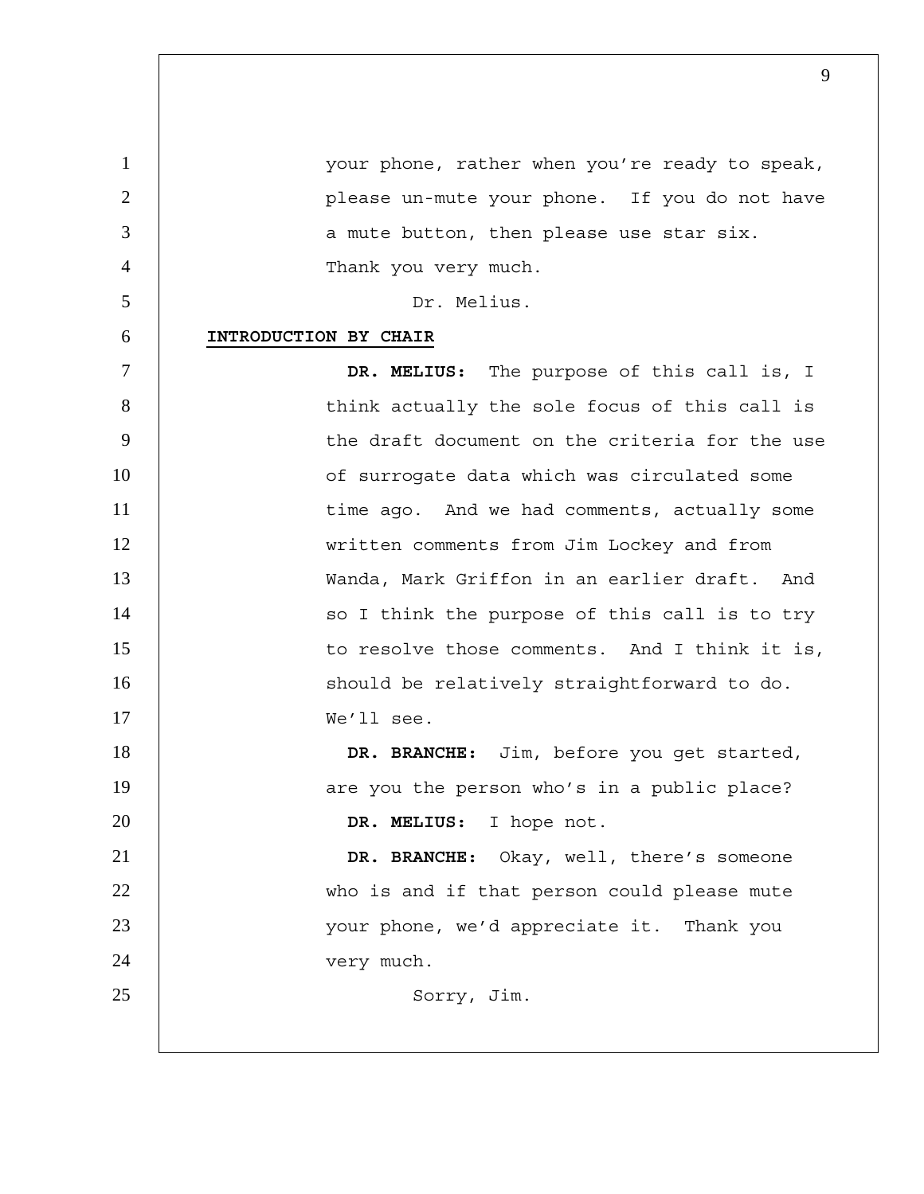| $\mathbf{1}$   | your phone, rather when you're ready to speak, |
|----------------|------------------------------------------------|
| $\overline{2}$ | please un-mute your phone. If you do not have  |
| 3              | a mute button, then please use star six.       |
| $\overline{4}$ | Thank you very much.                           |
| 5              | Dr. Melius.                                    |
| 6              | INTRODUCTION BY CHAIR                          |
| $\tau$         | DR. MELIUS: The purpose of this call is, I     |
| 8              | think actually the sole focus of this call is  |
| 9              | the draft document on the criteria for the use |
| 10             | of surrogate data which was circulated some    |
| 11             | time ago. And we had comments, actually some   |
| 12             | written comments from Jim Lockey and from      |
| 13             | Wanda, Mark Griffon in an earlier draft. And   |
| 14             | so I think the purpose of this call is to try  |
| 15             | to resolve those comments. And I think it is,  |
| 16             | should be relatively straightforward to do.    |
| 17             | We'll see.                                     |
| 18             | DR. BRANCHE: Jim, before you get started,      |
| 19             | are you the person who's in a public place?    |
| 20             | DR. MELIUS: I hope not.                        |
| 21             | DR. BRANCHE: Okay, well, there's someone       |
| 22             | who is and if that person could please mute    |
| 23             | your phone, we'd appreciate it. Thank you      |
| 24             | very much.                                     |
| 25             | Sorry, Jim.                                    |
|                |                                                |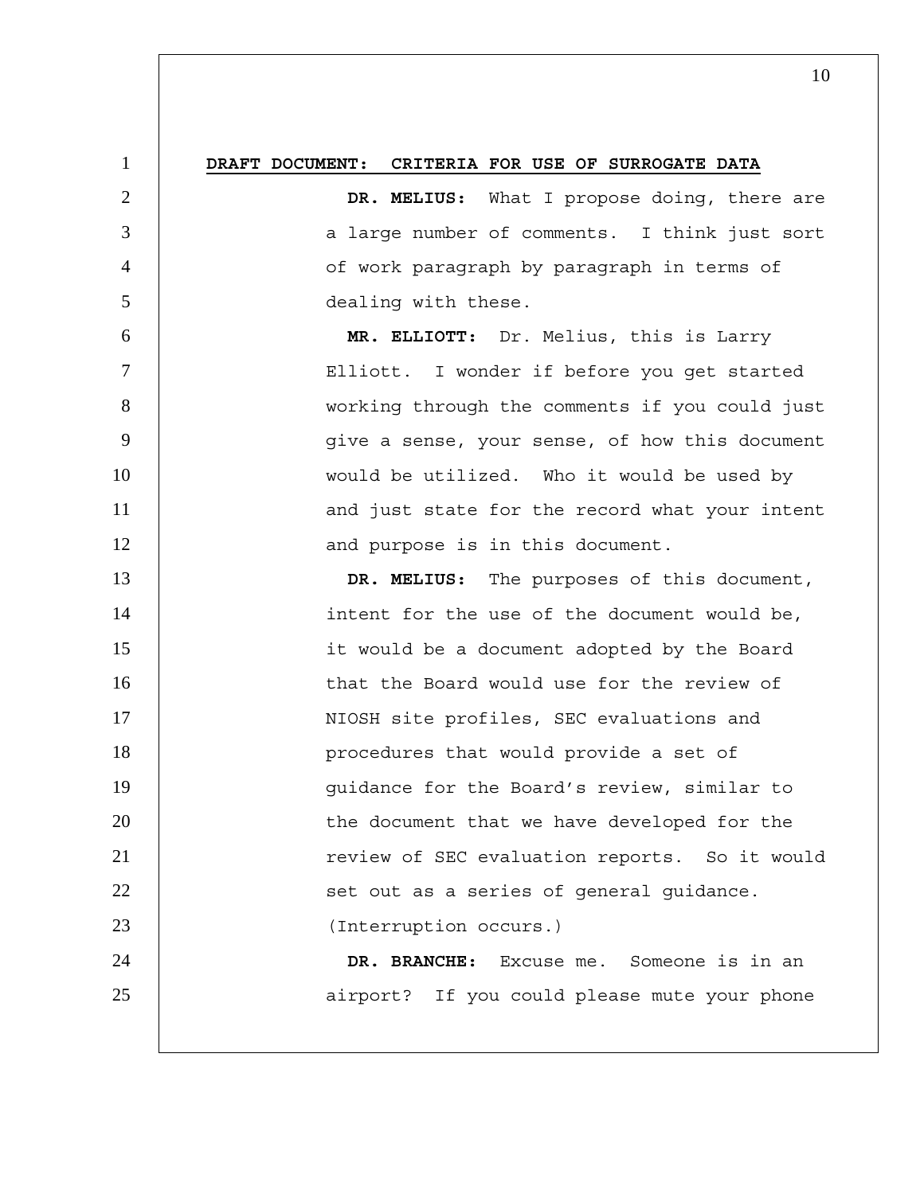## 1 **DRAFT DOCUMENT: CRITERIA FOR USE OF SURROGATE DATA**

**DR. MELIUS:** What I propose doing, there are 3 a large number of comments. I think just sort of work paragraph by paragraph in terms of dealing with these.

6 **MR. ELLIOTT:** Dr. Melius, this is Larry 7 Elliott. I wonder if before you get started 8 working through the comments if you could just 9 give a sense, your sense, of how this document 10 | would be utilized. Who it would be used by 11 | and just state for the record what your intent 12 | and purpose is in this document.

13 **DR. MELIUS:** The purposes of this document, 14 | intent for the use of the document would be, 15 it would be a document adopted by the Board 16 | that the Board would use for the review of 17 | NIOSH site profiles, SEC evaluations and 18 | procedures that would provide a set of 19 | quidance for the Board's review, similar to 20 | the document that we have developed for the 21 | review of SEC evaluation reports. So it would 22 | Set out as a series of general quidance. 23 (Interruption occurs.) 24 **DR. BRANCHE:** Excuse me. Someone is in an 25 | airport? If you could please mute your phone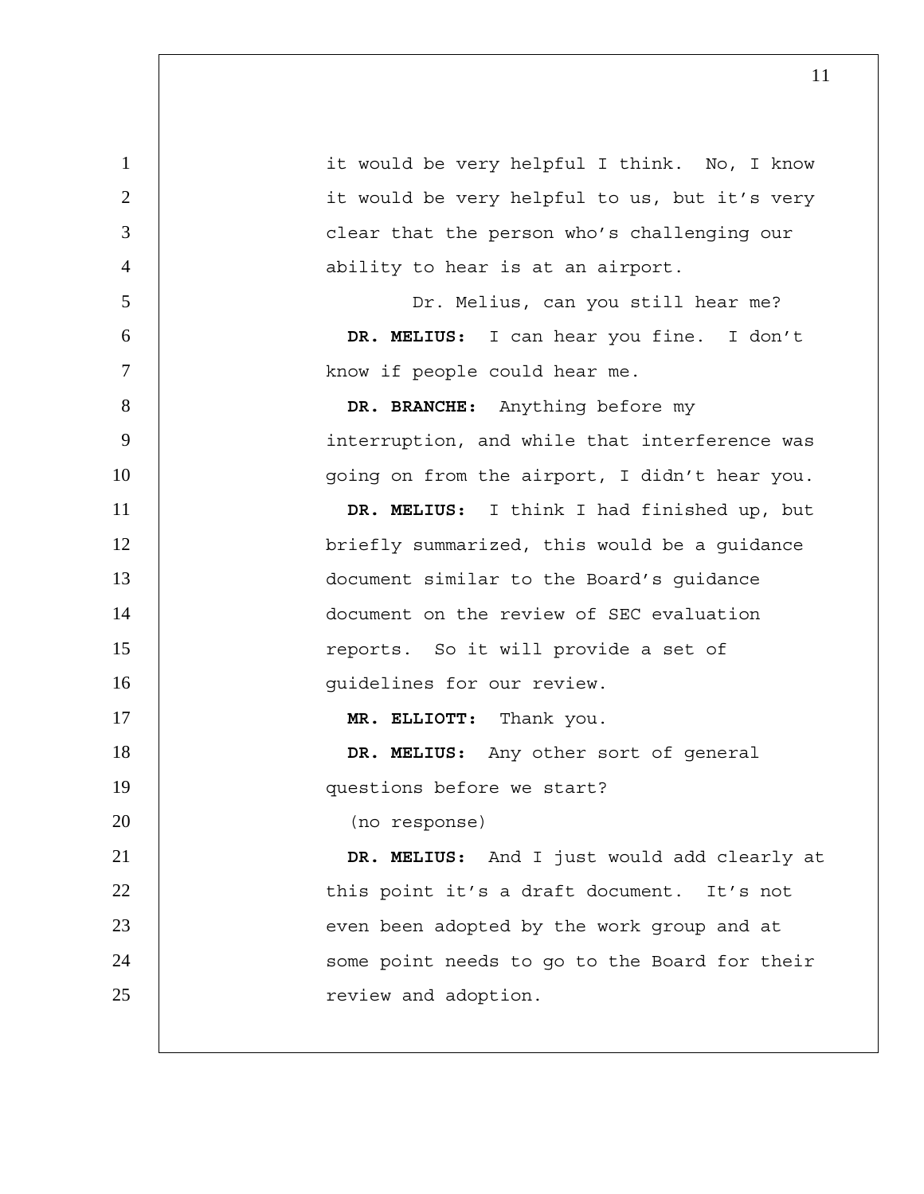| 1              | it would be very helpful I think. No, I know  |
|----------------|-----------------------------------------------|
| 2              | it would be very helpful to us, but it's very |
| $\overline{3}$ | clear that the person who's challenging our   |
| $\overline{4}$ | ability to hear is at an airport.             |
| 5              | Dr. Melius, can you still hear me?            |
| 6              | DR. MELIUS: I can hear you fine. I don't      |
| $\tau$         | know if people could hear me.                 |
| 8              | DR. BRANCHE: Anything before my               |
| 9              | interruption, and while that interference was |
| 10             | going on from the airport, I didn't hear you. |
| 11             | DR. MELIUS: I think I had finished up, but    |
| 12             | briefly summarized, this would be a guidance  |
| 13             | document similar to the Board's guidance      |
| 14             | document on the review of SEC evaluation      |
| 15             | reports. So it will provide a set of          |
| 16             | guidelines for our review.                    |
| 17             | MR. ELLIOTT: Thank you.                       |
| 18             | DR. MELIUS: Any other sort of general         |
| 19             | questions before we start?                    |
| 20             | (no response)                                 |
| 21             | DR. MELIUS: And I just would add clearly at   |
| 22             | this point it's a draft document. It's not    |
| 23             | even been adopted by the work group and at    |
| 24             | some point needs to go to the Board for their |
| 25             | review and adoption.                          |
|                |                                               |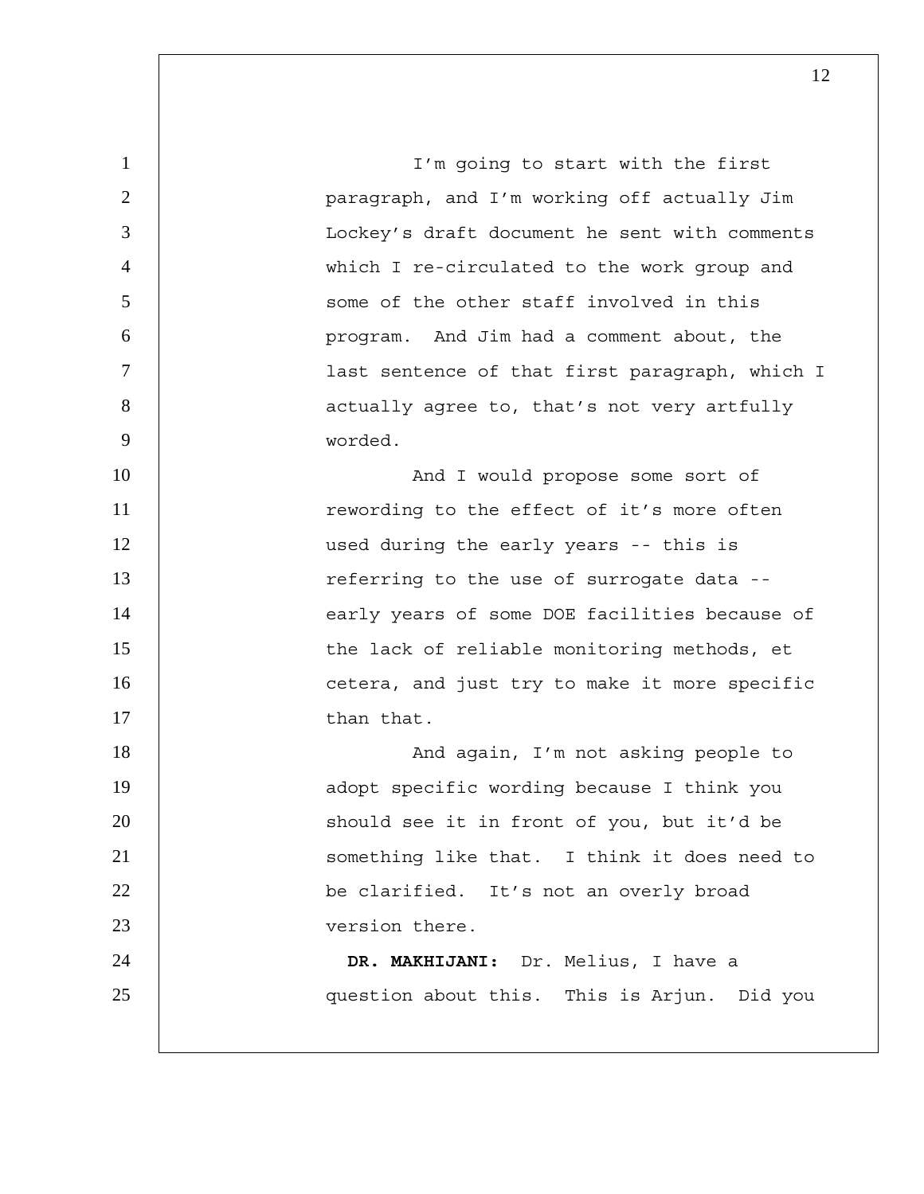1 | I'm going to start with the first 2 paragraph, and I'm working off actually Jim 3 Lockey's draft document he sent with comments 4 which I re-circulated to the work group and 5 S is some of the other staff involved in this 6 program. And Jim had a comment about, the 7 last sentence of that first paragraph, which I 8 | actually agree to, that's not very artfully 9 worded. 10 | And I would propose some sort of 11 The state of the effect of it's more often 12 | used during the early years -- this is 13 | referring to the use of surrogate data --14 | early years of some DOE facilities because of 15 | the lack of reliable monitoring methods, et 16 | cetera, and just try to make it more specific 17 than that. 18 | North London, I'm not asking people to 19 | adopt specific wording because I think you 20 | should see it in front of you, but it'd be 21 | Something like that. I think it does need to 22 | be clarified. It's not an overly broad 23 version there. 24 **DR. MAKHIJANI:** Dr. Melius, I have a 25 question about this. This is Arjun. Did you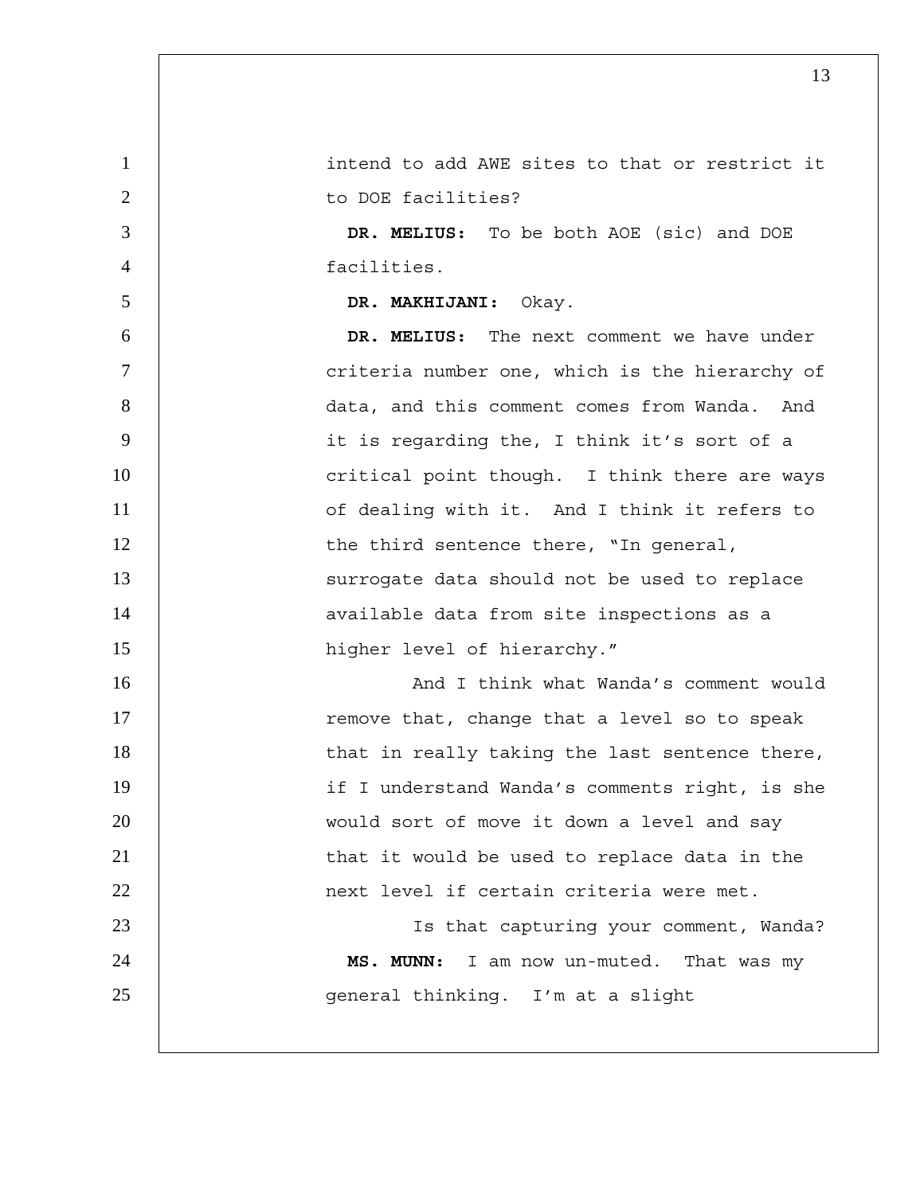1 intend to add AWE sites to that or restrict it 2 | to DOE facilities? 3 **DR. MELIUS:** To be both AOE (sic) and DOE 4 facilities. 5 **DR. MAKHIJANI:** Okay. 6 **DR. MELIUS:** The next comment we have under 7 | criteria number one, which is the hierarchy of 8 data, and this comment comes from Wanda. And 9 it is regarding the, I think it's sort of a 10 | critical point though. I think there are ways 11 | Contracted of dealing with it. And I think it refers to 12 | the third sentence there, "In general, 13 | Surrogate data should not be used to replace 14 | available data from site inspections as a 15 | higher level of hierarchy." 16 | No. 2010 And I think what Wanda's comment would 17 | remove that, change that a level so to speak 18 | that in really taking the last sentence there, 19 if I understand Wanda's comments right, is she 20 | would sort of move it down a level and say 21 | that it would be used to replace data in the 22 next level if certain criteria were met. 23 Is that capturing your comment, Wanda? 24 **MS. MUNN:** I am now un-muted. That was my 25 | General thinking. I'm at a slight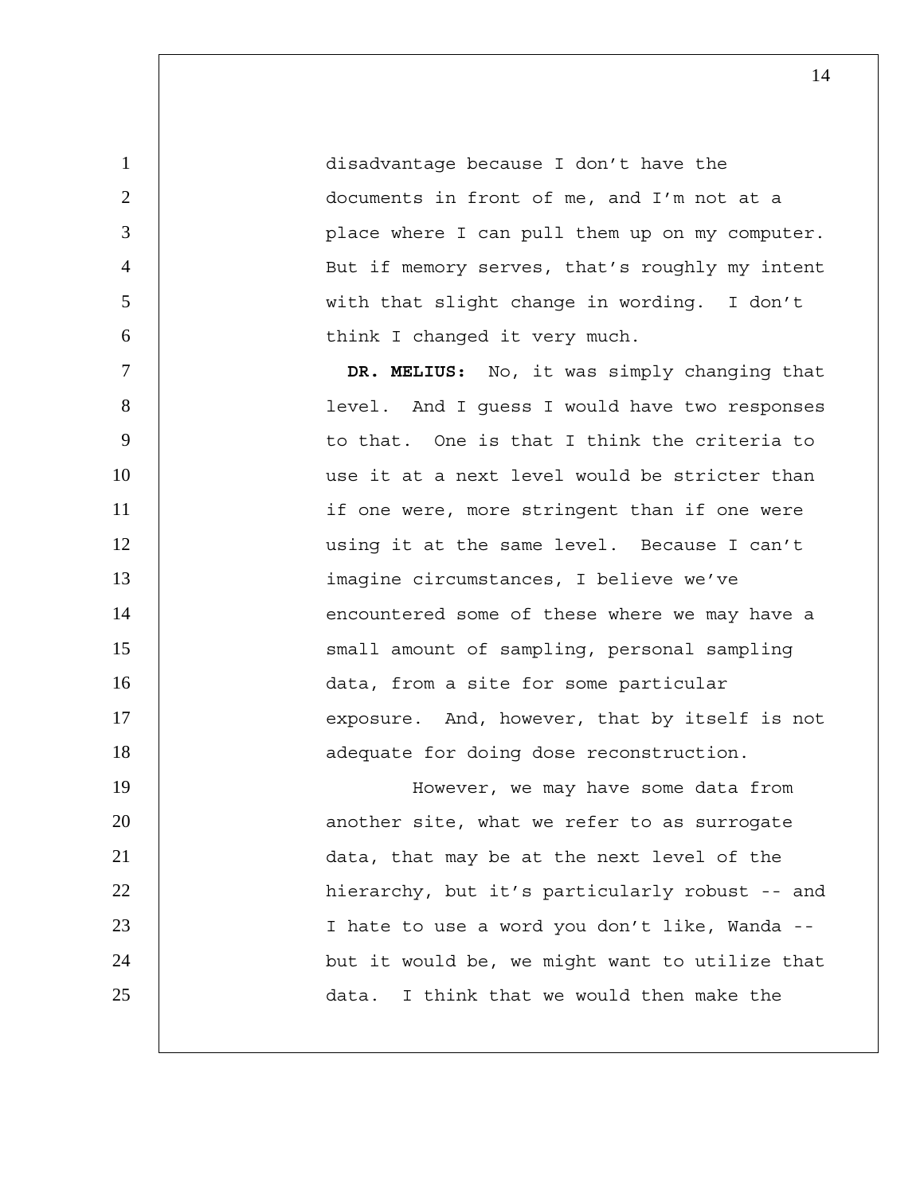disadvantage because I don't have the documents in front of me, and I'm not at a place where I can pull them up on my computer. But if memory serves, that's roughly my intent with that slight change in wording. I don't 6 | think I changed it very much.

7 **DR. MELIUS:** No, it was simply changing that 8 level. And I guess I would have two responses 9 | to that. One is that I think the criteria to 10 use it at a next level would be stricter than 11 | if one were, more stringent than if one were 12 using it at the same level. Because I can't 13 imagine circumstances, I believe we've 14 | encountered some of these where we may have a 15 | Small amount of sampling, personal sampling 16 | data, from a site for some particular 17 | exposure. And, however, that by itself is not 18 | adequate for doing dose reconstruction. 19 | However, we may have some data from 20 | another site, what we refer to as surrogate

21 data, that may be at the next level of the 22 | hierarchy, but it's particularly robust -- and 23 I hate to use a word you don't like, Wanda -- 24 | but it would be, we might want to utilize that 25 data. I think that we would then make the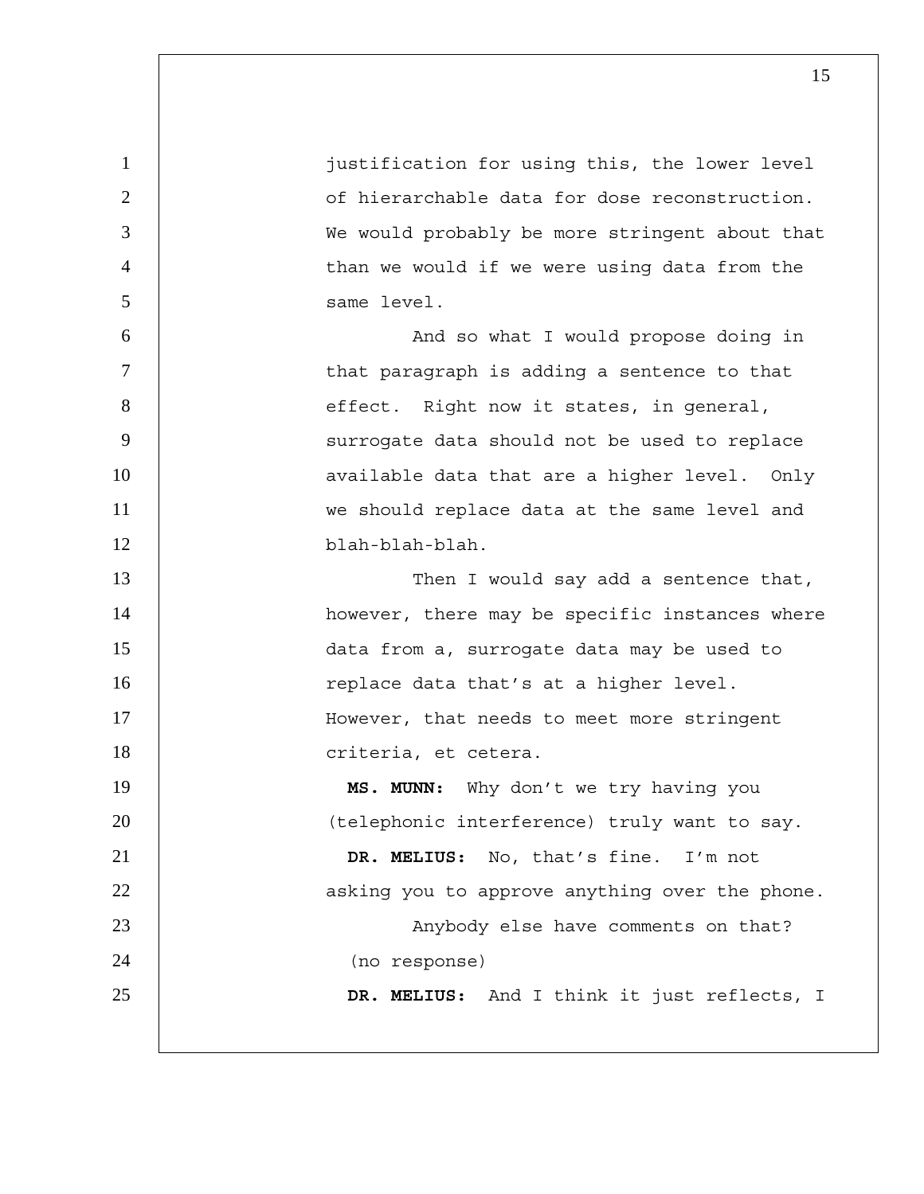1 justification for using this, the lower level 2 **1** 2 of hierarchable data for dose reconstruction. 3 | We would probably be more stringent about that 4 than we would if we were using data from the 5 same level. 6 And so what I would propose doing in 7 | that paragraph is adding a sentence to that 8 | effect. Right now it states, in general, 9 | Surrogate data should not be used to replace 10 | available data that are a higher level. Only 11 | we should replace data at the same level and 12 blah-blah-blah. 13 | Then I would say add a sentence that, 14 | however, there may be specific instances where 15 data from a, surrogate data may be used to 16 | replace data that's at a higher level. 17 | However, that needs to meet more stringent 18 | criteria, et cetera. 19 **MS. MUNN:** Why don't we try having you 20 | (telephonic interference) truly want to say. 21 **DR. MELIUS:** No, that's fine. I'm not 22 | asking you to approve anything over the phone. 23 | Anybody else have comments on that? 24 (no response) 25 **DR. MELIUS:** And I think it just reflects, I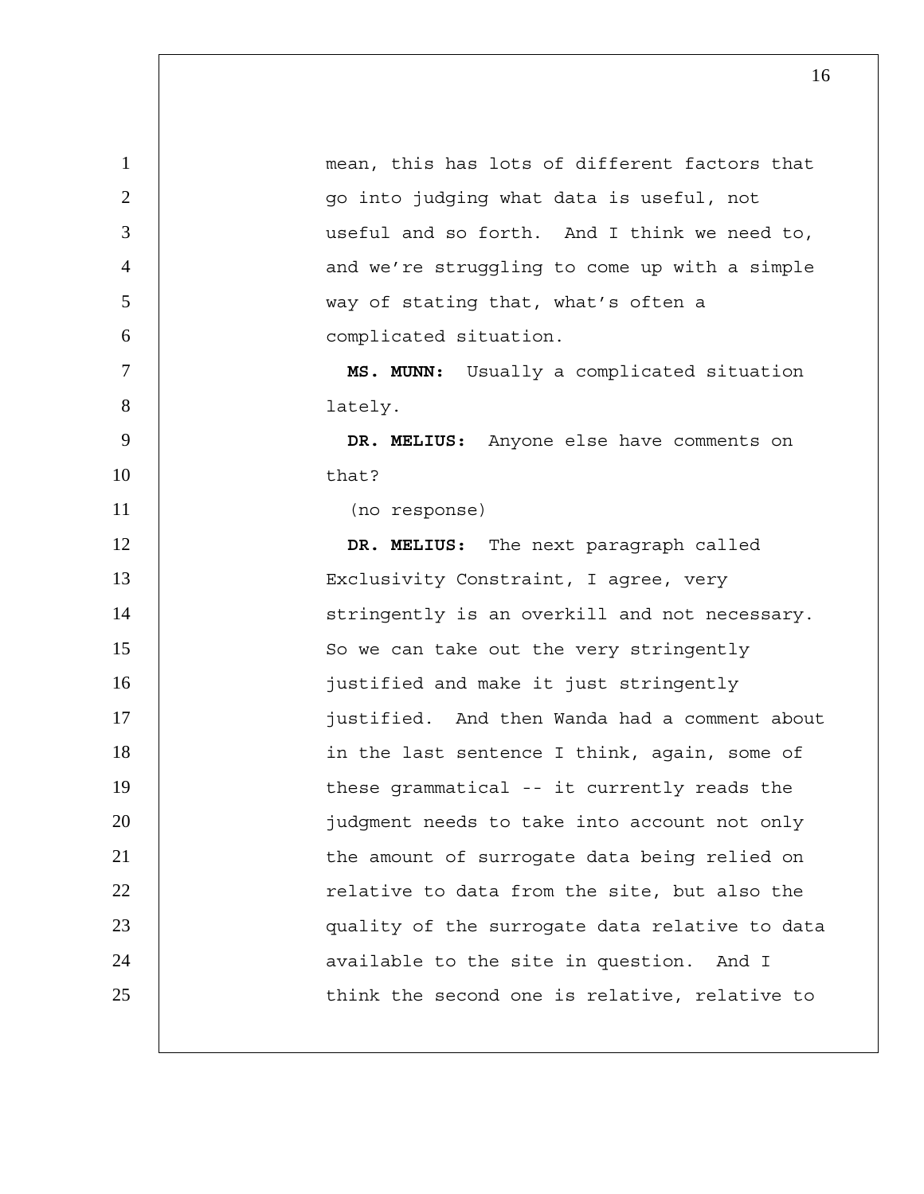| $\mathbf{1}$   | mean, this has lots of different factors that  |
|----------------|------------------------------------------------|
| $\overline{2}$ | go into judging what data is useful, not       |
| 3              | useful and so forth. And I think we need to,   |
| $\overline{4}$ | and we're struggling to come up with a simple  |
| 5              | way of stating that, what's often a            |
| 6              | complicated situation.                         |
| $\overline{7}$ | MS. MUNN: Usually a complicated situation      |
| 8              | lately.                                        |
| 9              | DR. MELIUS: Anyone else have comments on       |
| 10             | that?                                          |
| 11             | (no response)                                  |
| 12             | DR. MELIUS: The next paragraph called          |
| 13             | Exclusivity Constraint, I agree, very          |
| 14             | stringently is an overkill and not necessary.  |
| 15             | So we can take out the very stringently        |
| 16             | justified and make it just stringently         |
| 17             | justified. And then Wanda had a comment about  |
| 18             | in the last sentence I think, again, some of   |
| 19             | these grammatical -- it currently reads the    |
| 20             | judgment needs to take into account not only   |
| 21             | the amount of surrogate data being relied on   |
| 22             | relative to data from the site, but also the   |
| 23             | quality of the surrogate data relative to data |
| 24             | available to the site in question. And I       |
| 25             | think the second one is relative, relative to  |
|                |                                                |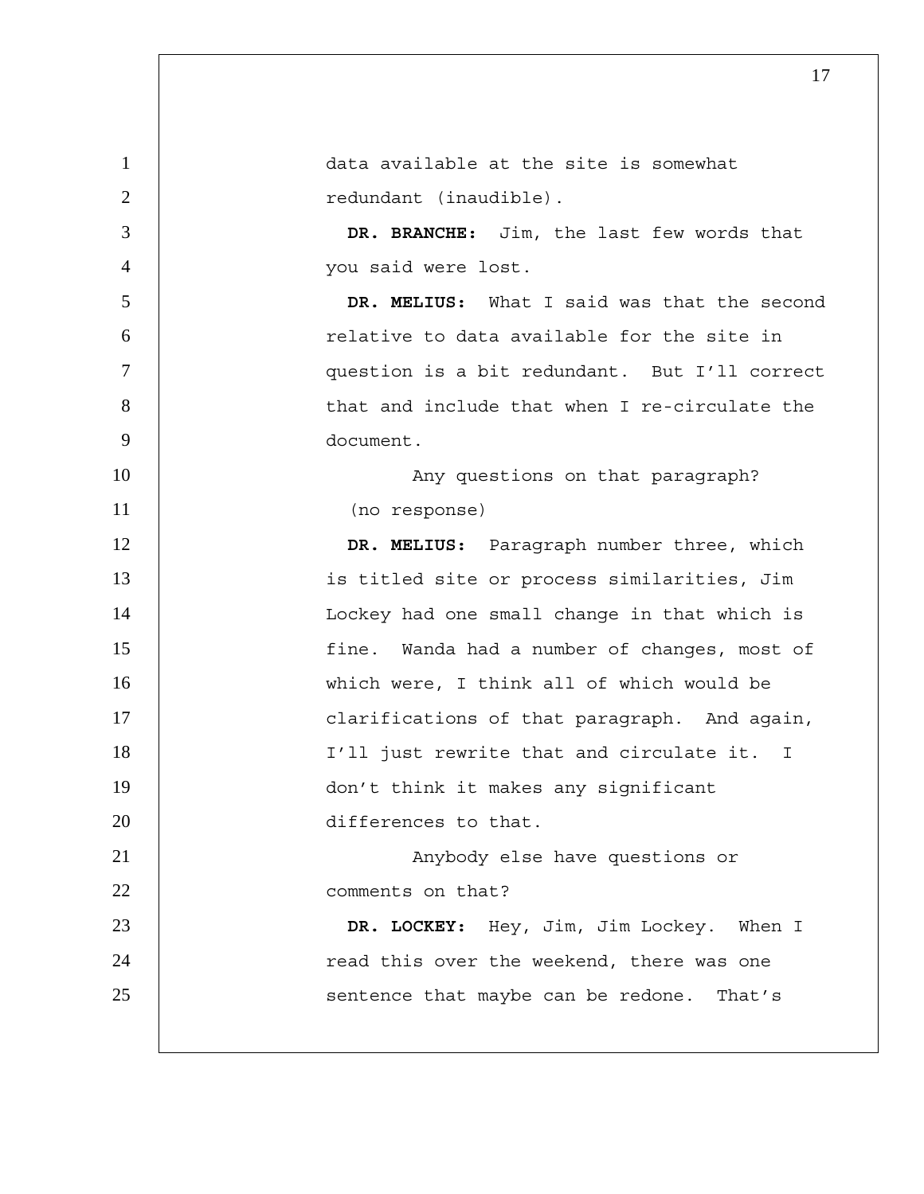| $\mathbf{1}$   | data available at the site is somewhat        |
|----------------|-----------------------------------------------|
| $\overline{2}$ | redundant (inaudible).                        |
| 3              | DR. BRANCHE: Jim, the last few words that     |
| $\overline{4}$ | you said were lost.                           |
| 5              | DR. MELIUS: What I said was that the second   |
| 6              | relative to data available for the site in    |
| $\overline{7}$ | question is a bit redundant. But I'll correct |
| 8              | that and include that when I re-circulate the |
| 9              | document.                                     |
| 10             | Any questions on that paragraph?              |
| 11             | (no response)                                 |
| 12             | DR. MELIUS: Paragraph number three, which     |
| 13             | is titled site or process similarities, Jim   |
| 14             | Lockey had one small change in that which is  |
| 15             | fine. Wanda had a number of changes, most of  |
| 16             | which were, I think all of which would be     |
| 17             | clarifications of that paragraph. And again,  |
| 18             | I'll just rewrite that and circulate it. I    |
| 19             | don't think it makes any significant          |
| 20             | differences to that.                          |
| 21             | Anybody else have questions or                |
| 22             | comments on that?                             |
| 23             | DR. LOCKEY: Hey, Jim, Jim Lockey. When I      |
| 24             | read this over the weekend, there was one     |
| 25             | sentence that maybe can be redone. That's     |
|                |                                               |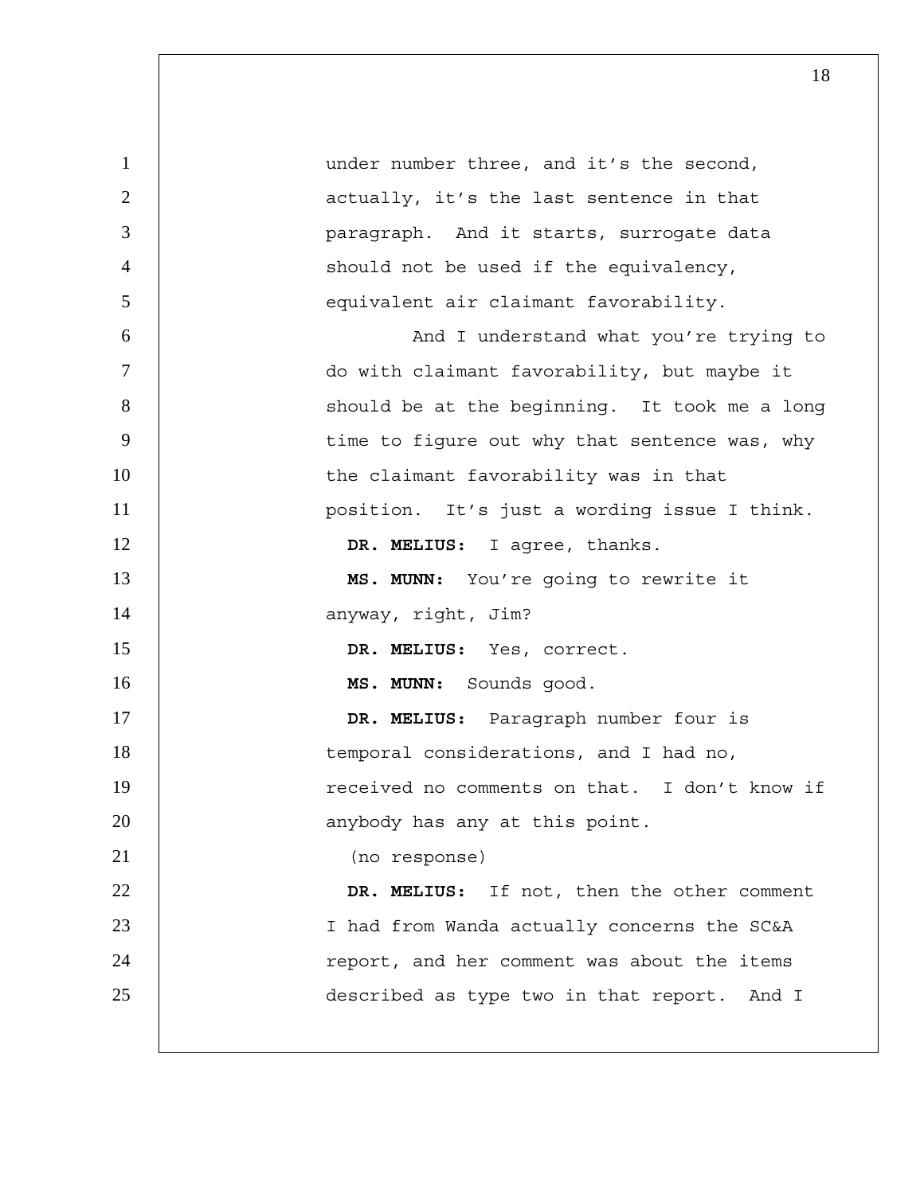| $\mathbf{1}$   | under number three, and it's the second,      |
|----------------|-----------------------------------------------|
| $\overline{2}$ | actually, it's the last sentence in that      |
| 3              | paragraph. And it starts, surrogate data      |
| $\overline{4}$ | should not be used if the equivalency,        |
| 5              | equivalent air claimant favorability.         |
| 6              | And I understand what you're trying to        |
| $\tau$         | do with claimant favorability, but maybe it   |
| 8              | should be at the beginning. It took me a long |
| 9              | time to figure out why that sentence was, why |
| 10             | the claimant favorability was in that         |
| 11             | position. It's just a wording issue I think.  |
| 12             | DR. MELIUS: I agree, thanks.                  |
| 13             | MS. MUNN: You're going to rewrite it          |
| 14             | anyway, right, Jim?                           |
| 15             | DR. MELIUS: Yes, correct.                     |
| 16             | MS. MUNN: Sounds good.                        |
| 17             | DR. MELIUS: Paragraph number four is          |
| 18             | temporal considerations, and I had no,        |
| 19             | received no comments on that. I don't know if |
| 20             | anybody has any at this point.                |
| 21             | (no response)                                 |
| 22             | DR. MELIUS: If not, then the other comment    |
| 23             | I had from Wanda actually concerns the SC&A   |
| 24             | report, and her comment was about the items   |
| 25             | described as type two in that report. And I   |
|                |                                               |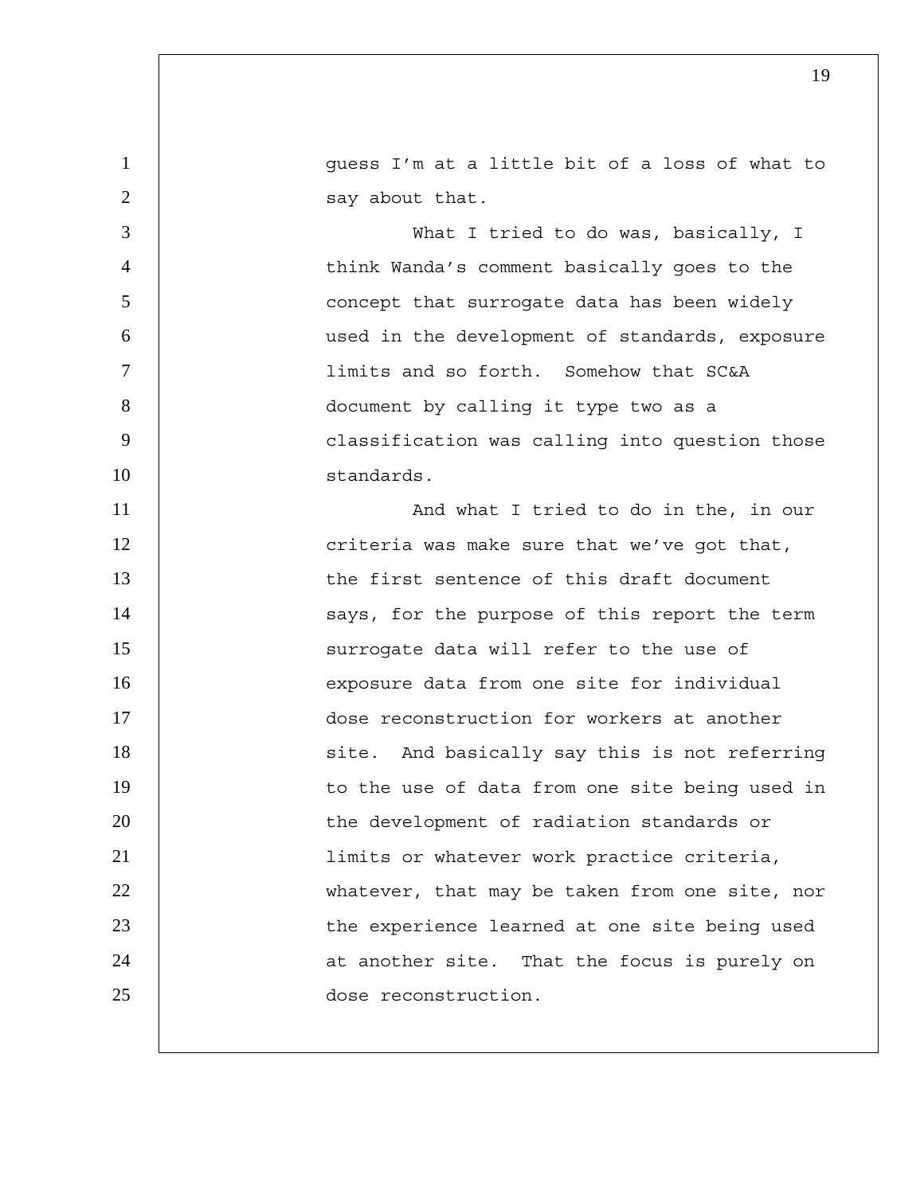1 directleright at a little bit of a loss of what to 2 | say about that.

What I tried to do was, basically, I think Wanda's comment basically goes to the 5 | Concept that surrogate data has been widely used in the development of standards, exposure limits and so forth. Somehow that SC&A document by calling it type two as a 9 | Classification was calling into question those standards.

11 | **And what I tried to do in the, in our** 12 | criteria was make sure that we've got that, 13 13 the first sentence of this draft document 14 | says, for the purpose of this report the term 15 | Surrogate data will refer to the use of 16 exposure data from one site for individual 17 dose reconstruction for workers at another 18 | Site. And basically say this is not referring 19 | to the use of data from one site being used in 20 | the development of radiation standards or 21 limits or whatever work practice criteria, 22 | whatever, that may be taken from one site, nor 23 | the experience learned at one site being used 24 | at another site. That the focus is purely on 25 dose reconstruction.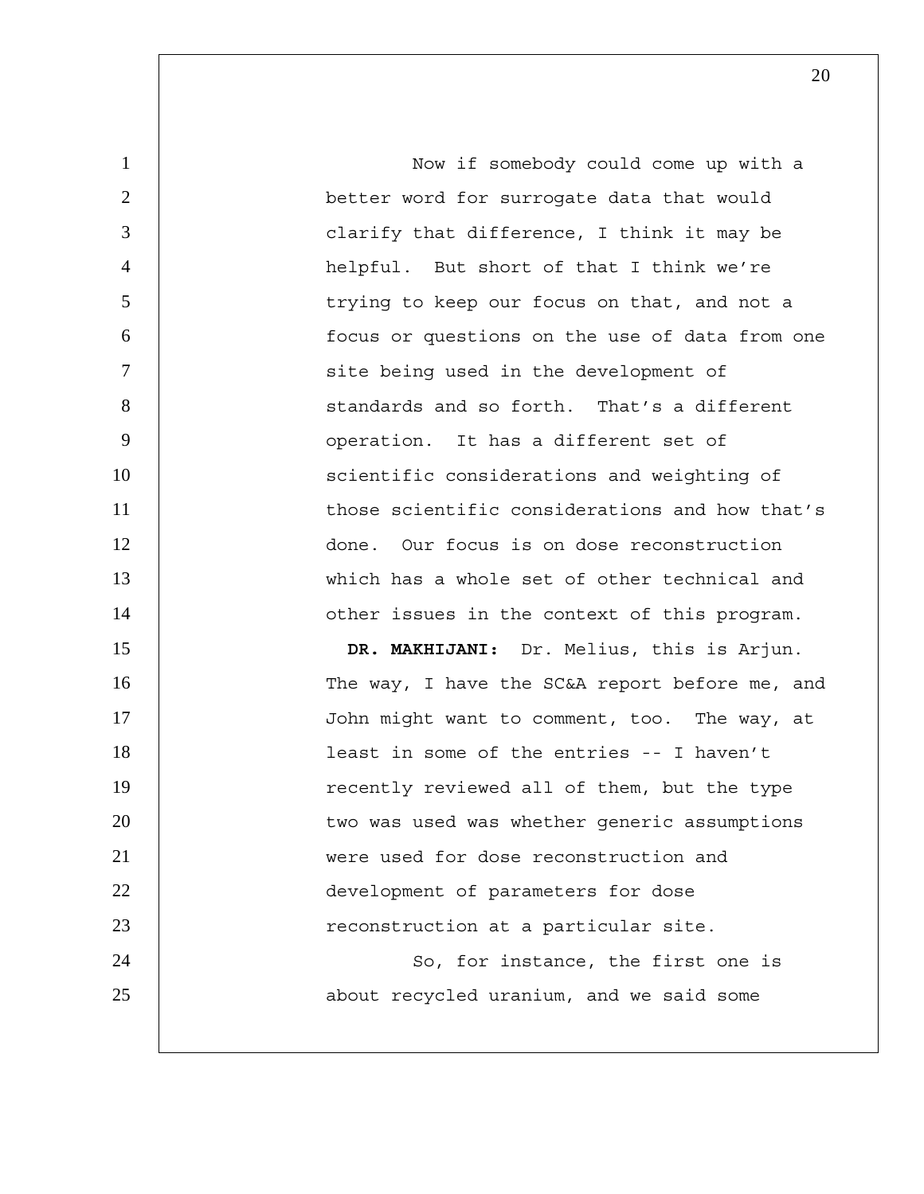1 Now if somebody could come up with a 2 better word for surrogate data that would 3 clarify that difference, I think it may be 4 helpful. But short of that I think we're 5 | trying to keep our focus on that, and not a 6 focus or questions on the use of data from one 7 | site being used in the development of 8 | Standards and so forth. That's a different 9 | operation. It has a different set of 10 | scientific considerations and weighting of 11 **those scientific considerations and how that's** 12 done. Our focus is on dose reconstruction 13 which has a whole set of other technical and 14 | other issues in the context of this program. 15 **DR. MAKHIJANI:** Dr. Melius, this is Arjun. 16 | The way, I have the SC&A report before me, and 17 | John might want to comment, too. The way, at 18 | least in some of the entries -- I haven't 19 | recently reviewed all of them, but the type 20 | two was used was whether generic assumptions 21 were used for dose reconstruction and 22 **development** of parameters for dose 23 | reconstruction at a particular site. 24 | So, for instance, the first one is 25 **about recycled uranium, and we said some**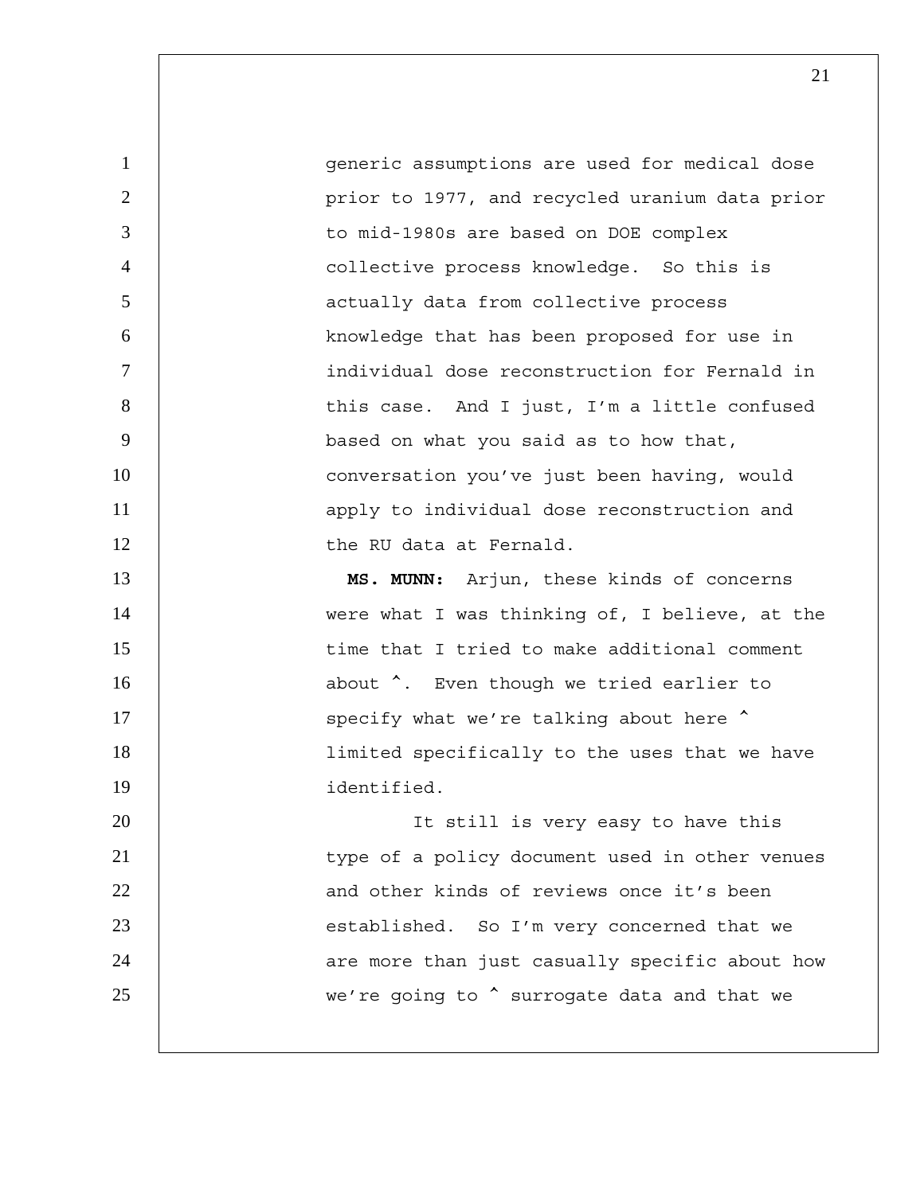1 generic assumptions are used for medical dose 2 | prior to 1977, and recycled uranium data prior 3 to mid-1980s are based on DOE complex 4 collective process knowledge. So this is 5 actually data from collective process 6 | knowledge that has been proposed for use in 7 individual dose reconstruction for Fernald in 8 | this case. And I just, I'm a little confused 9 based on what you said as to how that, 10 | conversation you've just been having, would 11 | apply to individual dose reconstruction and 12 | the RU data at Fernald. 13 **MS. MUNN:** Arjun, these kinds of concerns 14 | were what I was thinking of, I believe, at the 15 | time that I tried to make additional comment 16 **b** about  $\hat{ }$ . Even though we tried earlier to 17 | specify what we're talking about here  $\sim$ 18 | limited specifically to the uses that we have 19 identified. 20 | It still is very easy to have this 21 | type of a policy document used in other venues 22 **b** and other kinds of reviews once it's been 23 | established. So I'm very concerned that we 24 | are more than just casually specific about how 25 | we're going to  $\hat{ }$  surrogate data and that we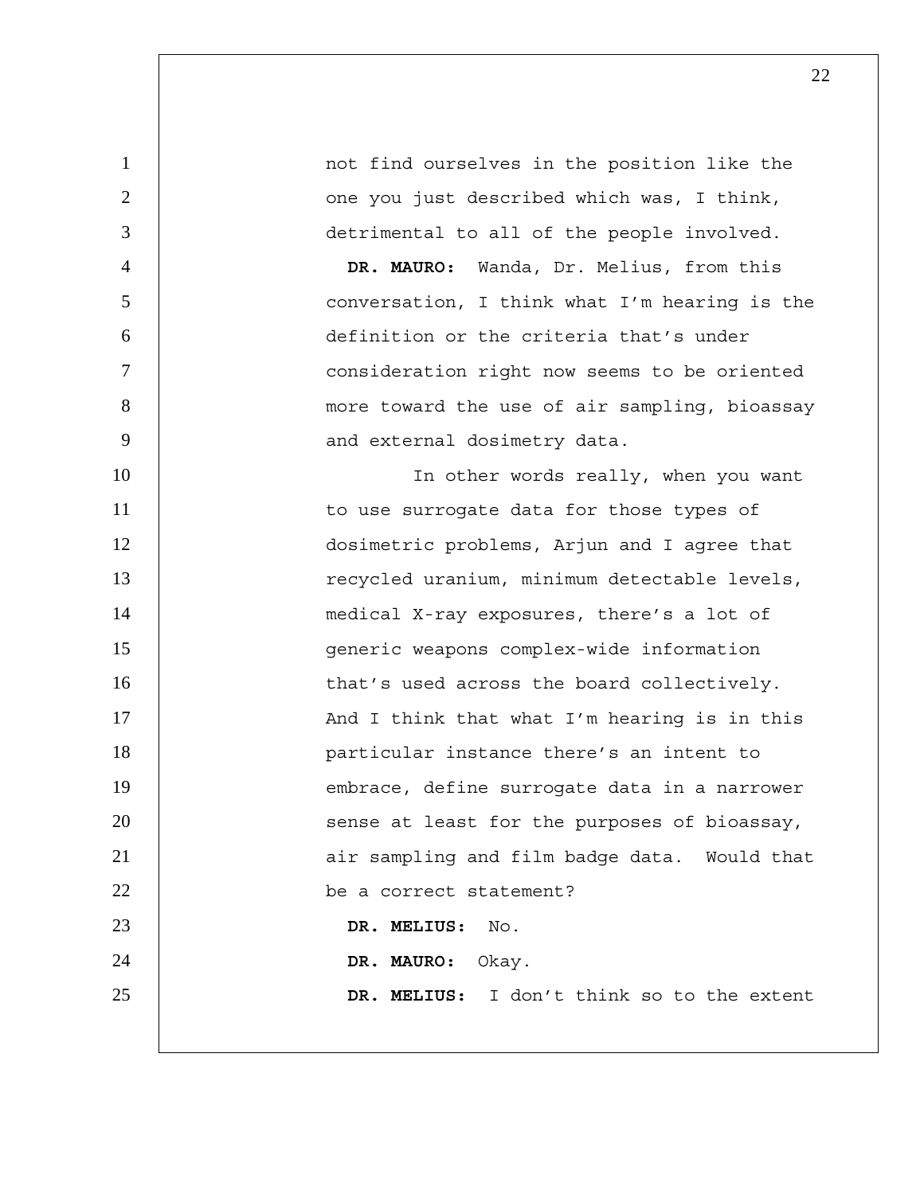1 1 not find ourselves in the position like the 2 | one you just described which was, I think, 3 detrimental to all of the people involved. 4 **DR. MAURO:** Wanda, Dr. Melius, from this 5 conversation, I think what I'm hearing is the 6 definition or the criteria that's under 7 consideration right now seems to be oriented 8 | more toward the use of air sampling, bioassay 9 | and external dosimetry data. 10 | In other words really, when you want 11 | to use surrogate data for those types of 12 dosimetric problems, Arjun and I agree that 13 | recycled uranium, minimum detectable levels, 14 | medical X-ray exposures, there's a lot of 15 generic weapons complex-wide information 16 | that's used across the board collectively. 17 | And I think that what I'm hearing is in this 18 particular instance there's an intent to 19 | embrace, define surrogate data in a narrower 20 | Sense at least for the purposes of bioassay, 21 | air sampling and film badge data. Would that 22 be a correct statement? 23 **DR. MELIUS:** No. 24 **DR. MAURO:** Okay. 25 **DR. MELIUS:** I don't think so to the extent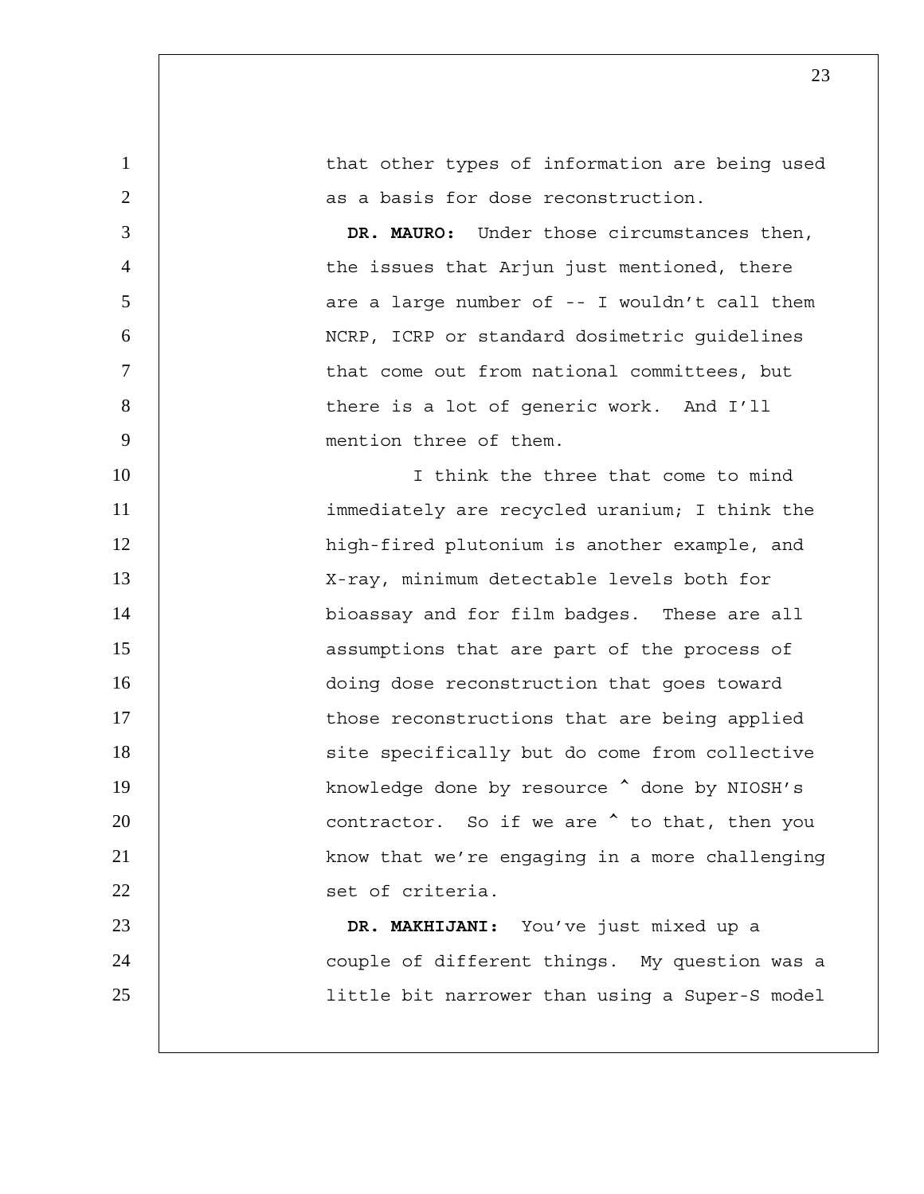| $\mathbf{1}$   | that other types of information are being used       |
|----------------|------------------------------------------------------|
| $\overline{2}$ | as a basis for dose reconstruction.                  |
| 3              | DR. MAURO: Under those circumstances then,           |
| $\overline{4}$ | the issues that Arjun just mentioned, there          |
| 5              | are a large number of -- I wouldn't call them        |
| 6              | NCRP, ICRP or standard dosimetric guidelines         |
| $\tau$         | that come out from national committees, but          |
| 8              | there is a lot of generic work. And I'll             |
| 9              | mention three of them.                               |
| 10             | I think the three that come to mind                  |
| 11             | immediately are recycled uranium; I think the        |
| 12             | high-fired plutonium is another example, and         |
| 13             | X-ray, minimum detectable levels both for            |
| 14             | bioassay and for film badges. These are all          |
| 15             | assumptions that are part of the process of          |
| 16             | doing dose reconstruction that goes toward           |
| 17             | those reconstructions that are being applied         |
| 18             | site specifically but do come from collective        |
| 19             | knowledge done by resource $\hat{ }$ done by NIOSH's |
| 20             | contractor. So if we are $\hat{ }$ to that, then you |
| 21             | know that we're engaging in a more challenging       |
| 22             | set of criteria.                                     |
| 23             | DR. MAKHIJANI: You've just mixed up a                |
| 24             | couple of different things. My question was a        |
| 25             | little bit narrower than using a Super-S model       |
|                |                                                      |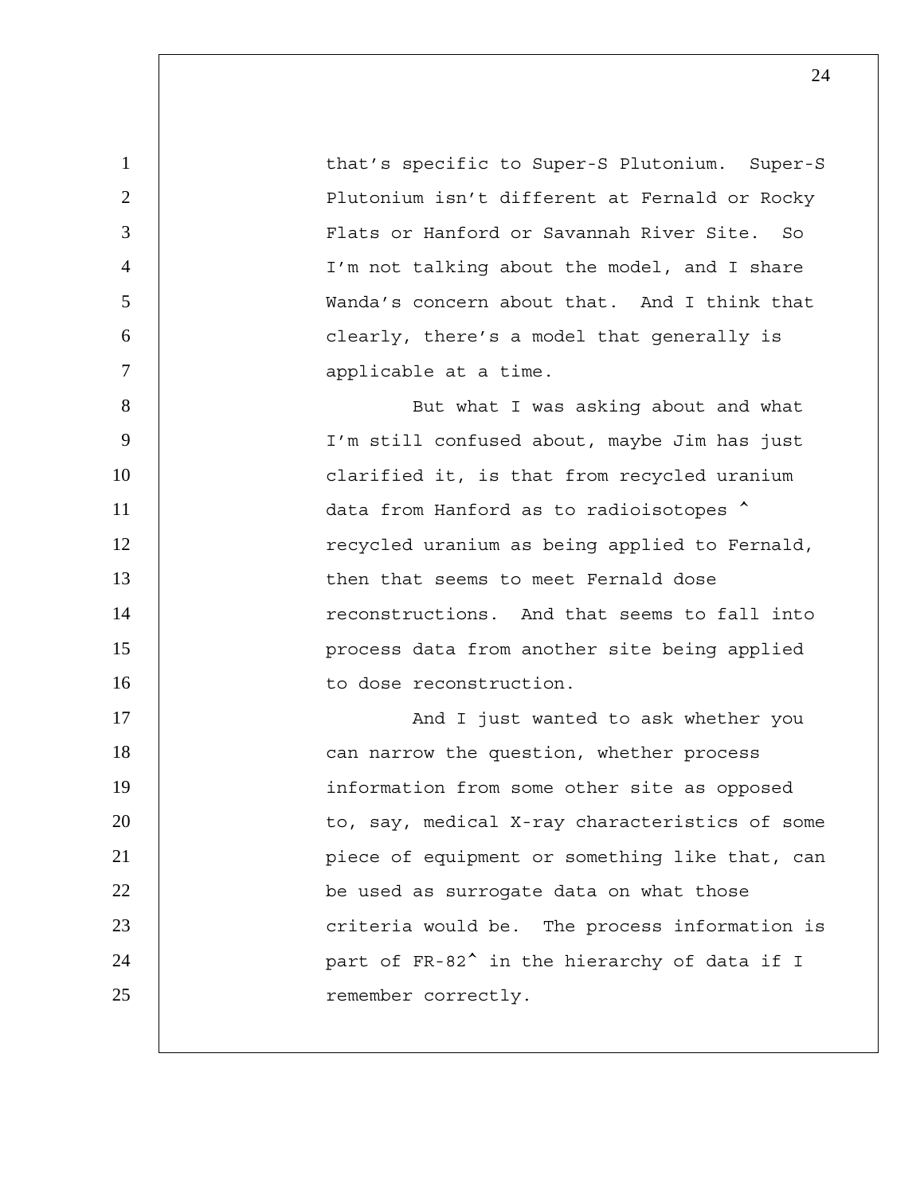1 that's specific to Super-S Plutonium. Super-S 2 | Plutonium isn't different at Fernald or Rocky 3 Flats or Hanford or Savannah River Site. So 4 I'm not talking about the model, and I share 5 Wanda's concern about that. And I think that 6 clearly, there's a model that generally is 7 | applicable at a time. 8 | But what I was asking about and what 9 I'm still confused about, maybe Jim has just 10 | clarified it, is that from recycled uranium 11 | data from Hanford as to radioisotopes  $\sim$ 12 | recycled uranium as being applied to Fernald, 13 **then that seems to meet Fernald dose** 14 | reconstructions. And that seems to fall into 15 | Process data from another site being applied 16 | to dose reconstruction. 17 | And I just wanted to ask whether you 18 **can narrow the question, whether process** 19 | information from some other site as opposed 20 | to, say, medical X-ray characteristics of some 21 | piece of equipment or something like that, can 22 **be used as surrogate data on what those** 23 | Criteria would be. The process information is 24 | part of FR-82<sup>^</sup> in the hierarchy of data if I 25 correctly.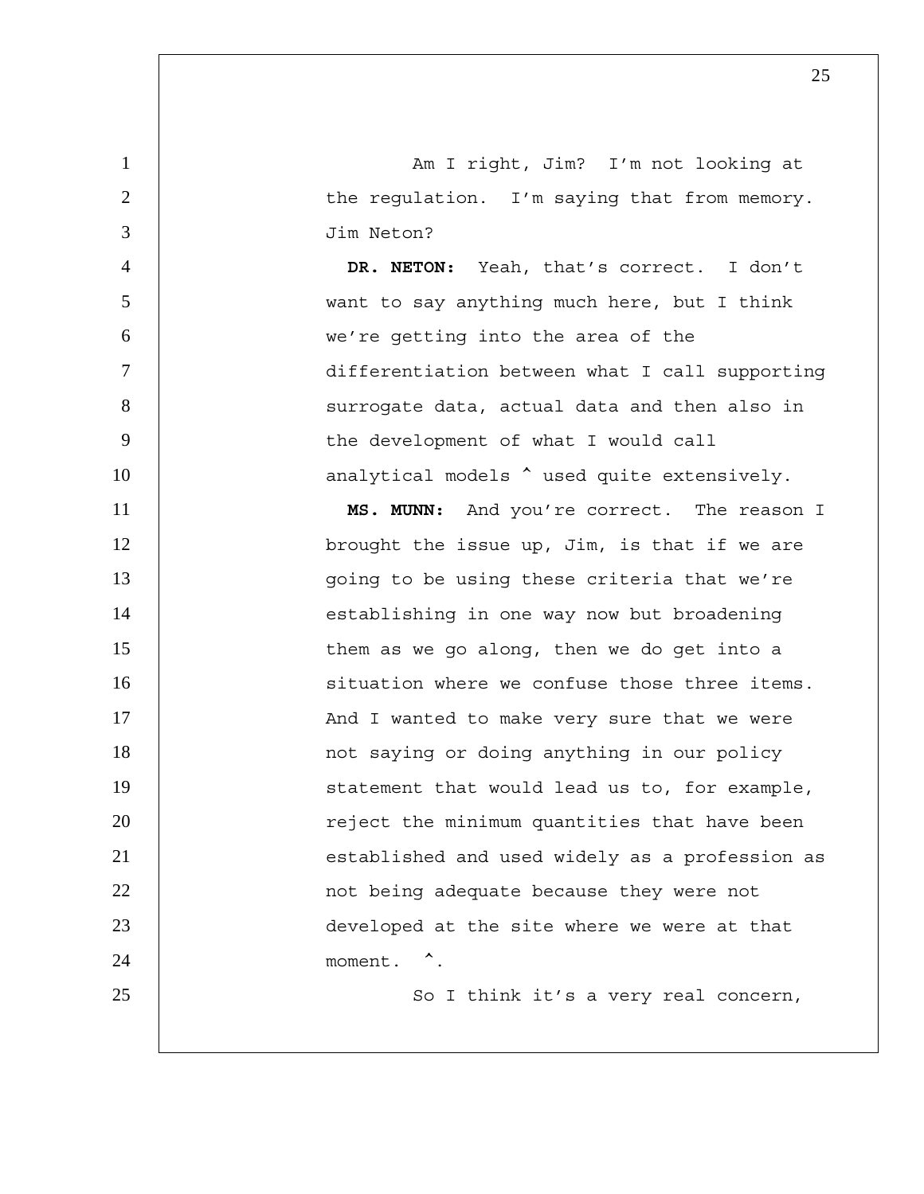1 am I right, Jim? I'm not looking at 2 | the regulation. I'm saying that from memory. 3 Jim Neton?

**DR. NETON:** Yeah, that's correct. I don't want to say anything much here, but I think we're getting into the area of the differentiation between what I call supporting 8 | Surrogate data, actual data and then also in the development of what I would call 10 | analytical models  $\hat{ }$  used quite extensively.

11 **MS. MUNN:** And you're correct. The reason I 12 | brought the issue up, Jim, is that if we are 13 | qoing to be using these criteria that we're 14 | establishing in one way now but broadening 15 | them as we go along, then we do get into a 16 | situation where we confuse those three items. 17 | And I wanted to make very sure that we were 18 | not saying or doing anything in our policy 19 | statement that would lead us to, for example, 20 | reject the minimum quantities that have been 21 | established and used widely as a profession as 22 **1** not being adequate because they were not 23 developed at the site where we were at that 24 moment.  $\sim$ . 25 | So I think it's a very real concern,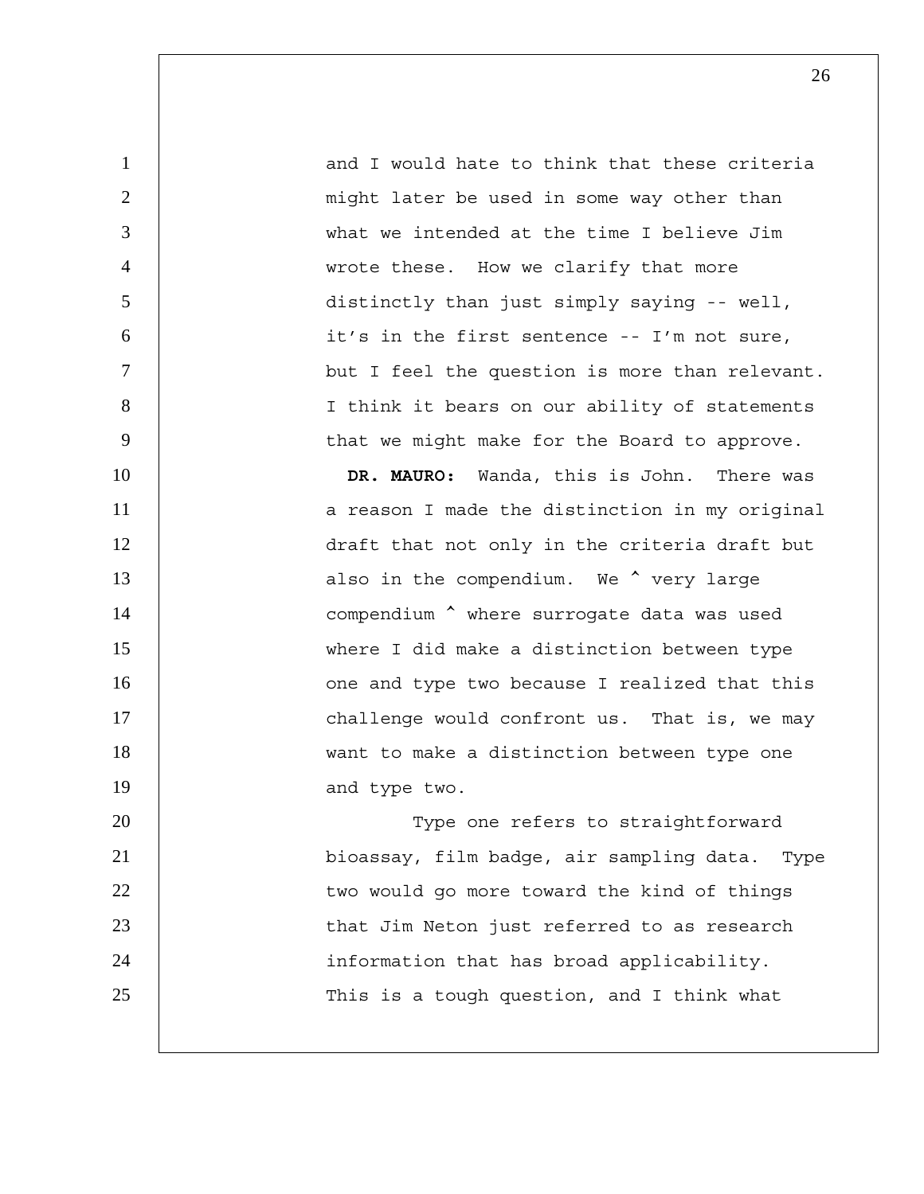1 and I would hate to think that these criteria 2 | might later be used in some way other than 3 what we intended at the time I believe Jim 4 wrote these. How we clarify that more 5 distinctly than just simply saying -- well, 6 it's in the first sentence -- I'm not sure, 7 but I feel the question is more than relevant. 8 | I think it bears on our ability of statements 9 | that we might make for the Board to approve.

10 **DR. MAURO:** Wanda, this is John. There was 11 | a reason I made the distinction in my original 12 | draft that not only in the criteria draft but 13 | also in the compendium. We  $\sim$  very large 14 | compendium  $\sim$  where surrogate data was used 15 where I did make a distinction between type 16 | Cone and type two because I realized that this 17 | challenge would confront us. That is, we may 18 want to make a distinction between type one 19 and type two.

20 | Type one refers to straightforward 21 bioassay, film badge, air sampling data. Type 22 | two would go more toward the kind of things 23 | that Jim Neton just referred to as research 24 information that has broad applicability. 25 | This is a tough question, and I think what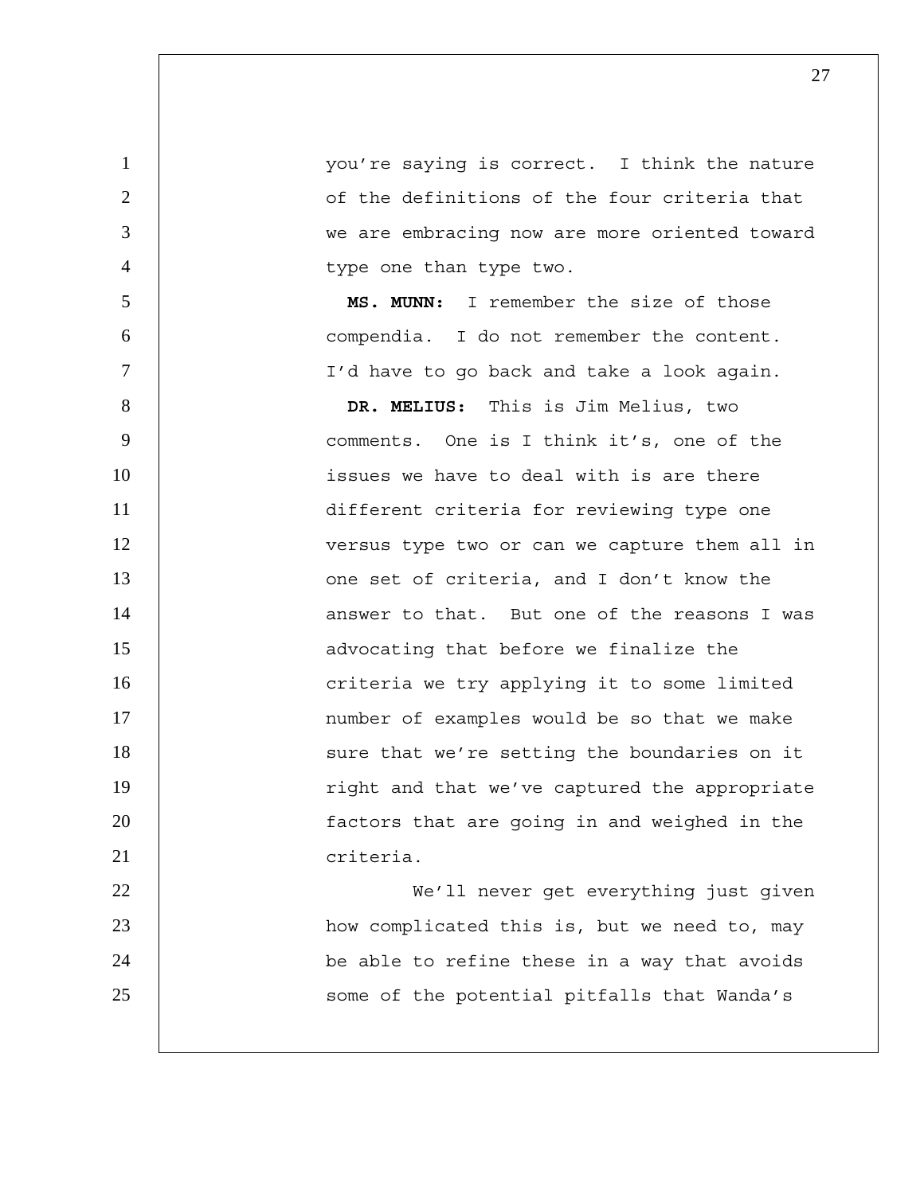you're saying is correct. I think the nature of the definitions of the four criteria that we are embracing now are more oriented toward 4 | type one than type two.

**MS. MUNN:** I remember the size of those compendia. I do not remember the content. I'd have to go back and take a look again.

**DR. MELIUS:** This is Jim Melius, two comments. One is I think it's, one of the **issues we have to deal with is are there** different criteria for reviewing type one 12 | versus type two or can we capture them all in **13** one set of criteria, and I don't know the 14 | answer to that. But one of the reasons I was **15** advocating that before we finalize the 16 | criteria we try applying it to some limited **17 number of examples would be so that we make** 18 | Sure that we're setting the boundaries on it 19 | right and that we've captured the appropriate **factors** that are going in and weighed in the criteria. We'll never get everything just given

how complicated this is, but we need to, may 24 | be able to refine these in a way that avoids 25 | Some of the potential pitfalls that Wanda's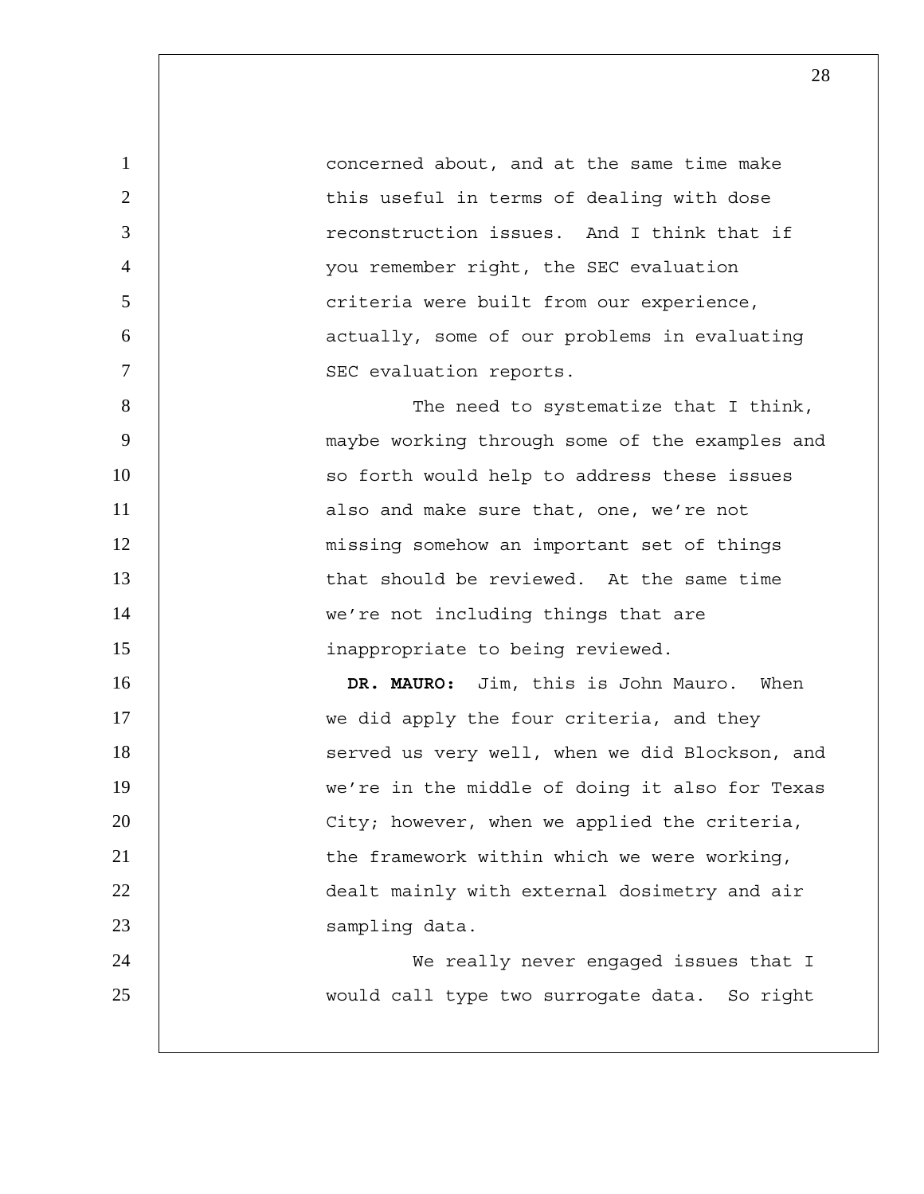1 concerned about, and at the same time make 2 | this useful in terms of dealing with dose 3 reconstruction issues. And I think that if 4 you remember right, the SEC evaluation 5 | criteria were built from our experience, 6 | actually, some of our problems in evaluating 7 | SEC evaluation reports. 8 | The need to systematize that I think, 9 maybe working through some of the examples and 10 | so forth would help to address these issues 11 | also and make sure that, one, we're not 12 missing somehow an important set of things 13 that should be reviewed. At the same time 14 | we're not including things that are 15 inappropriate to being reviewed. 16 **DR. MAURO:** Jim, this is John Mauro. When 17 | we did apply the four criteria, and they 18 | Served us very well, when we did Blockson, and 19 we're in the middle of doing it also for Texas 20 | City; however, when we applied the criteria, 21 | the framework within which we were working, 22 dealt mainly with external dosimetry and air 23 Sampling data. 24 We really never engaged issues that I 25 would call type two surrogate data. So right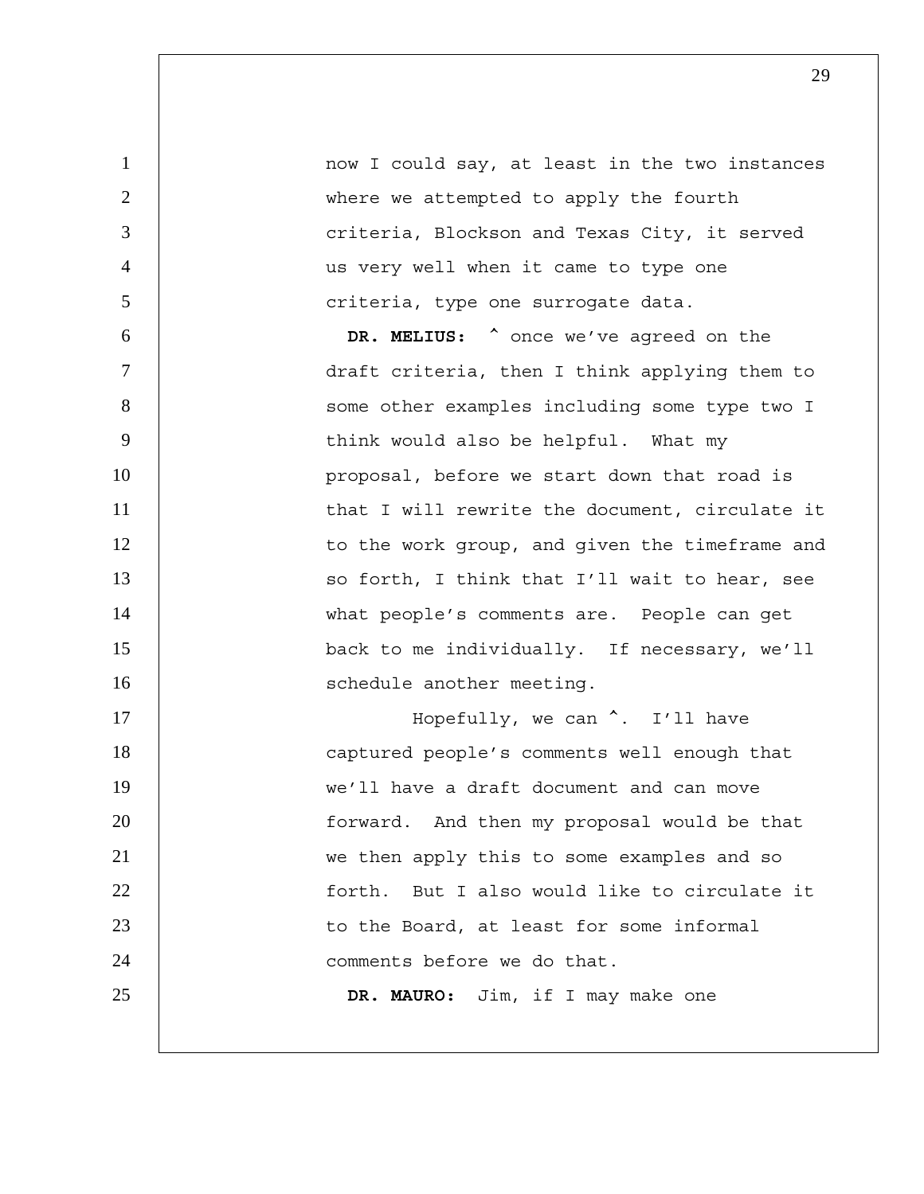1 | now I could say, at least in the two instances 2 | where we attempted to apply the fourth 3 **decist 1** criteria, Blockson and Texas City, it served 4 us very well when it came to type one 5 | criteria, type one surrogate data.

6 **DR. MELIUS:** ^ once we've agreed on the 7 draft criteria, then I think applying them to 8 | Some other examples including some type two I 9 | think would also be helpful. What my 10 | proposal, before we start down that road is 11 | that I will rewrite the document, circulate it 12 | to the work group, and given the timeframe and 13 | so forth, I think that I'll wait to hear, see 14 what people's comments are. People can get 15 back to me individually. If necessary, we'll 16 | schedule another meeting. 17 | Hopefully, we can  $\hat{C}$ . I'll have

captured people's comments well enough that we'll have a draft document and can move forward. And then my proposal would be that we then apply this to some examples and so forth. But I also would like to circulate it **b** to the Board, at least for some informal **decis** comments before we do that. **DR. MAURO:** Jim, if I may make one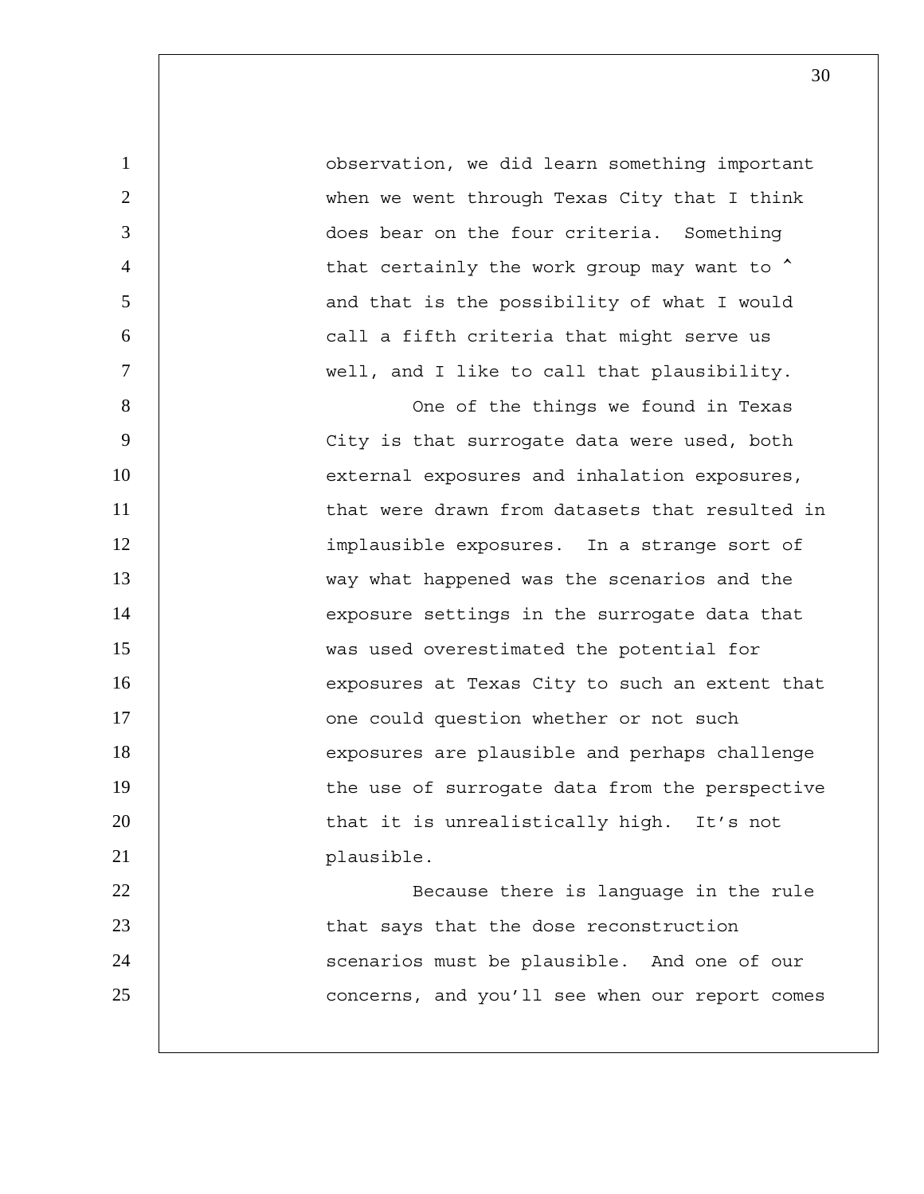1 observation, we did learn something important 2 | when we went through Texas City that I think 3 does bear on the four criteria. Something 4 | that certainly the work group may want to  $\textsuperscript{\star}$ 5 | and that is the possibility of what I would 6 call a fifth criteria that might serve us 7 well, and I like to call that plausibility.

8 | Cone of the things we found in Texas 9 | City is that surrogate data were used, both 10 | external exposures and inhalation exposures, 11 | that were drawn from datasets that resulted in 12 | implausible exposures. In a strange sort of 13 way what happened was the scenarios and the 14 | exposure settings in the surrogate data that 15 was used overestimated the potential for 16 | exposures at Texas City to such an extent that 17 | one could question whether or not such 18 | exposures are plausible and perhaps challenge 19 | the use of surrogate data from the perspective 20 | that it is unrealistically high. It's not 21 | plausible. 22 | Because there is language in the rule

23 | that says that the dose reconstruction 24 | scenarios must be plausible. And one of our 25 **concerns, and you'll see when our report comes**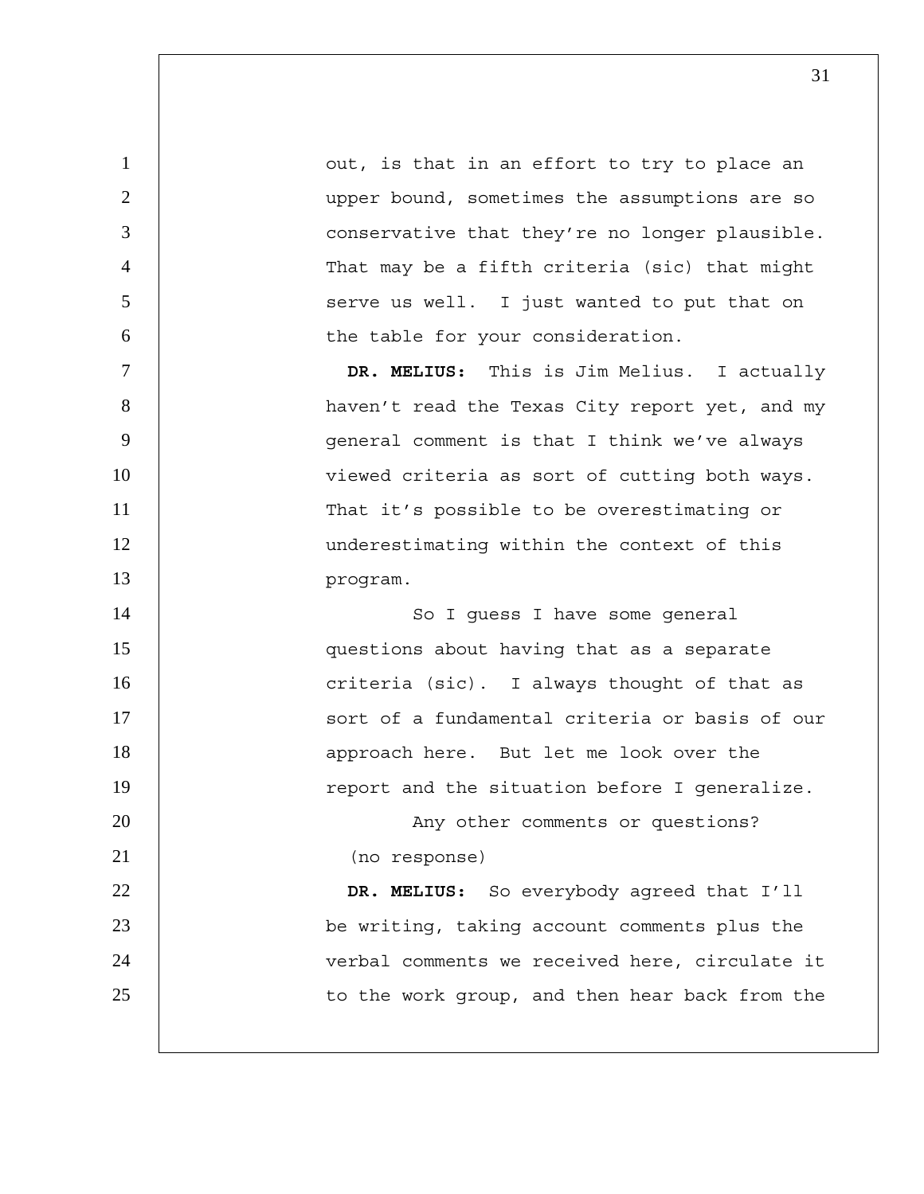1 | out, is that in an effort to try to place an 2 upper bound, sometimes the assumptions are so 3 conservative that they're no longer plausible. 4 That may be a fifth criteria (sic) that might 5 | Serve us well. I just wanted to put that on 6 | the table for your consideration. 7 **DR. MELIUS:** This is Jim Melius. I actually 8 | haven't read the Texas City report yet, and my 9 | qeneral comment is that I think we've always 10 | viewed criteria as sort of cutting both ways. 11 | That it's possible to be overestimating or 12 | underestimating within the context of this 13 program. 14 | So I guess I have some general 15 questions about having that as a separate 16 | criteria (sic). I always thought of that as 17 | Sort of a fundamental criteria or basis of our 18 | approach here. But let me look over the 19 | report and the situation before I generalize. 20 | Any other comments or questions? 21 (no response) 22 **DR. MELIUS:** So everybody agreed that I'll 23 be writing, taking account comments plus the 24 | verbal comments we received here, circulate it 25 | to the work group, and then hear back from the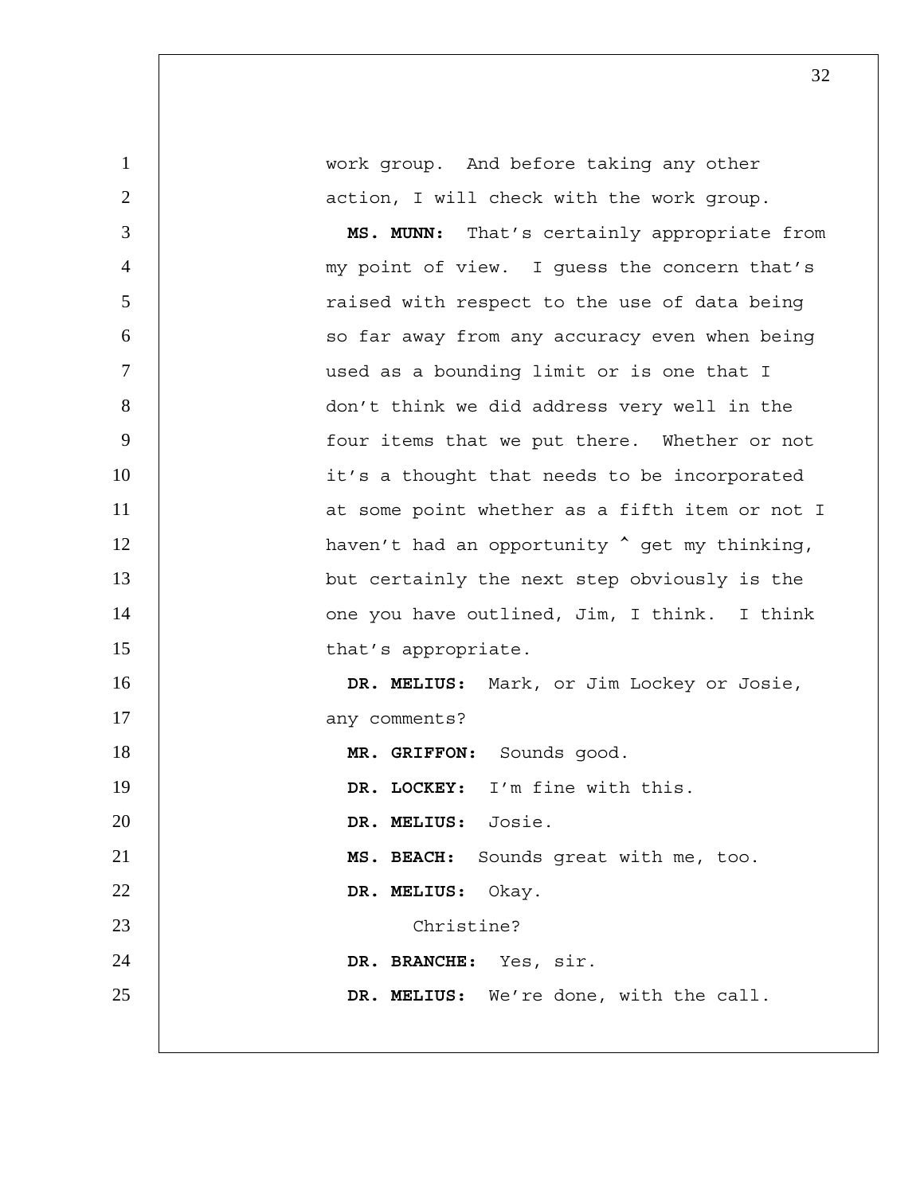1 work group. And before taking any other 2 | action, I will check with the work group. 3 **MS. MUNN:** That's certainly appropriate from 4 my point of view. I guess the concern that's 5 | Taised with respect to the use of data being 6 | so far away from any accuracy even when being 7 used as a bounding limit or is one that I 8 don't think we did address very well in the 9 | four items that we put there. Whether or not 10 | it's a thought that needs to be incorporated 11 | at some point whether as a fifth item or not I 12 | haven't had an opportunity  $\sim$  get my thinking, 13 **but certainly the next step obviously is the** 14 | one you have outlined, Jim, I think. I think 15 | that's appropriate. 16 **DR. MELIUS:** Mark, or Jim Lockey or Josie, 17 any comments? 18 **MR. GRIFFON:** Sounds good. 19 **DR. LOCKEY:** I'm fine with this. 20 **DR. MELIUS:** Josie. 21 **MS. BEACH:** Sounds great with me, too. 22 **DR. MELIUS:** Okay. 23 and 23 Christine? 24 **DR. BRANCHE:** Yes, sir. 25 **DR. MELIUS:** We're done, with the call.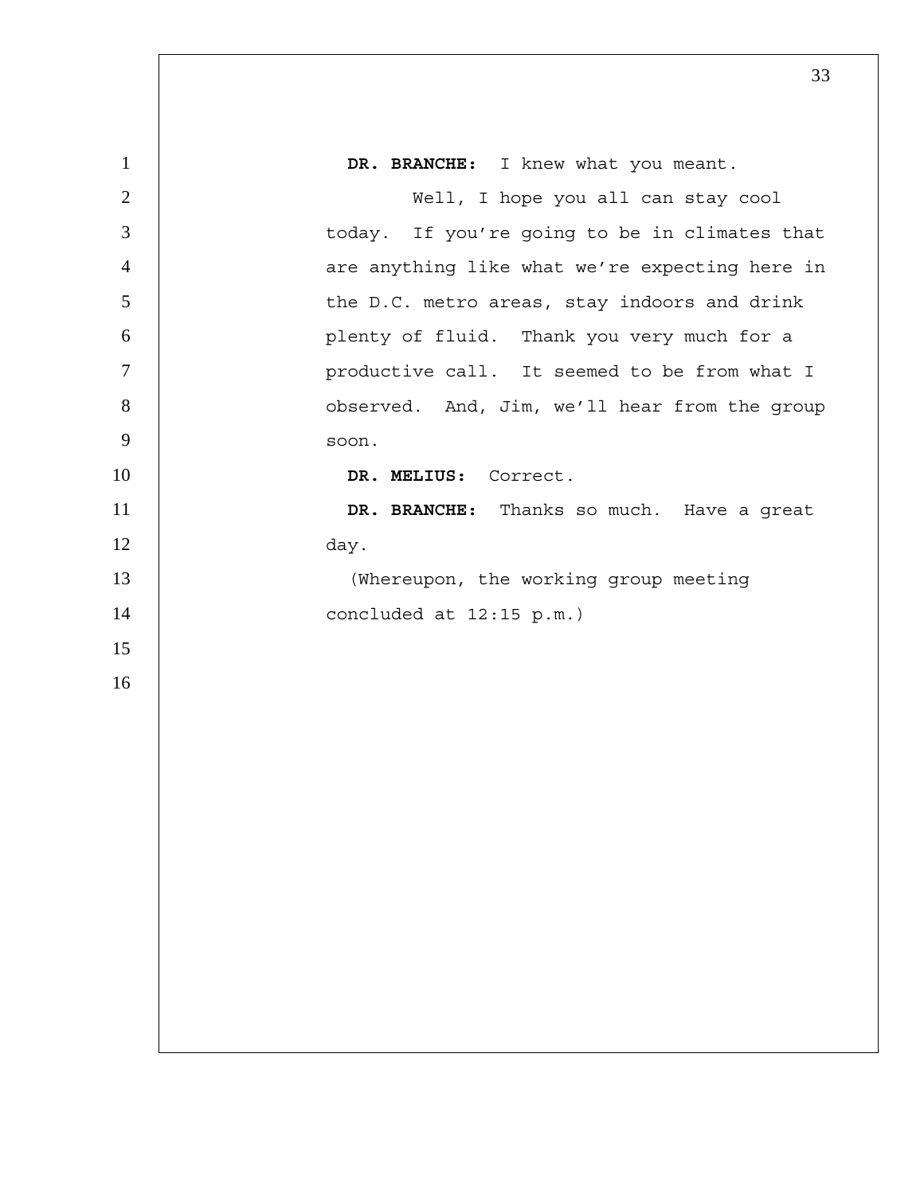| $\mathbf{1}$   | DR. BRANCHE: I knew what you meant.            |
|----------------|------------------------------------------------|
| $\overline{2}$ | Well, I hope you all can stay cool             |
| 3              | today. If you're going to be in climates that  |
| $\overline{4}$ | are anything like what we're expecting here in |
| 5              | the D.C. metro areas, stay indoors and drink   |
| 6              | plenty of fluid. Thank you very much for a     |
| $\tau$         | productive call. It seemed to be from what I   |
| 8              | observed. And, Jim, we'll hear from the group  |
| 9              | soon.                                          |
| 10             | DR. MELIUS: Correct.                           |
| 11             | DR. BRANCHE: Thanks so much. Have a great      |
| 12             | day.                                           |
| 13             | (Whereupon, the working group meeting          |
| 14             | concluded at $12:15$ p.m.)                     |
| 15             |                                                |
| 16             |                                                |
|                |                                                |
|                |                                                |
|                |                                                |
|                |                                                |
|                |                                                |
|                |                                                |
|                |                                                |
|                |                                                |
|                |                                                |
|                |                                                |